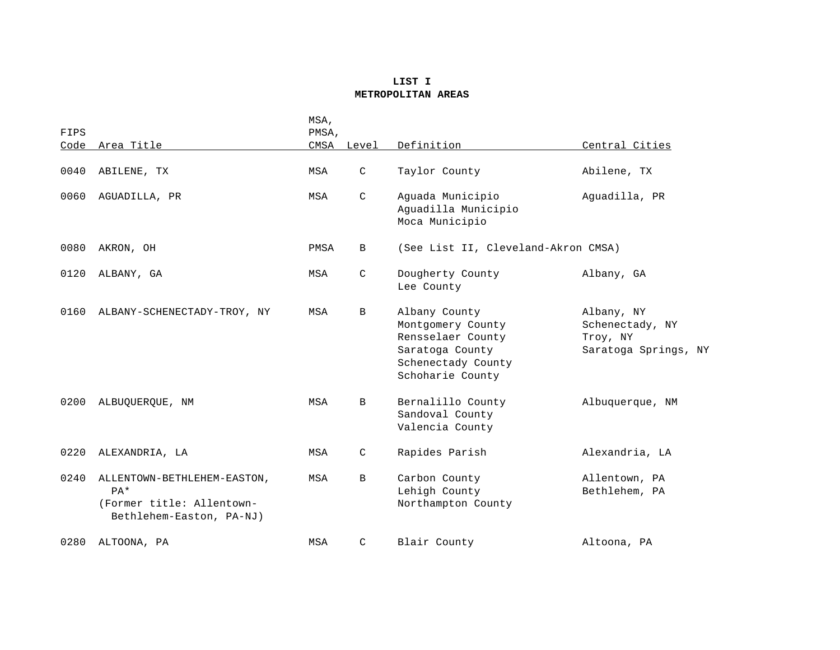## **LIST I METROPOLITAN AREAS**

| FIPS |                                                                                               | MSA,<br>PMSA, |              |                                                                                                                      |                                                                   |
|------|-----------------------------------------------------------------------------------------------|---------------|--------------|----------------------------------------------------------------------------------------------------------------------|-------------------------------------------------------------------|
| Code | Area Title                                                                                    | CMSA          | Level        | Definition                                                                                                           | Central Cities                                                    |
| 0040 | ABILENE, TX                                                                                   | MSA           | C            | Taylor County                                                                                                        | Abilene, TX                                                       |
| 0060 | AGUADILLA, PR                                                                                 | MSA           | $\mathsf{C}$ | Aguada Municipio<br>Aguadilla Municipio<br>Moca Municipio                                                            | Aguadilla, PR                                                     |
| 0080 | AKRON, OH                                                                                     | PMSA          | B            | (See List II, Cleveland-Akron CMSA)                                                                                  |                                                                   |
| 0120 | ALBANY, GA                                                                                    | MSA           | C            | Dougherty County<br>Lee County                                                                                       | Albany, GA                                                        |
| 0160 | ALBANY-SCHENECTADY-TROY, NY                                                                   | MSA           | B            | Albany County<br>Montgomery County<br>Rensselaer County<br>Saratoga County<br>Schenectady County<br>Schoharie County | Albany, NY<br>Schenectady, NY<br>Troy, NY<br>Saratoga Springs, NY |
| 0200 | ALBUQUERQUE, NM                                                                               | MSA           | B            | Bernalillo County<br>Sandoval County<br>Valencia County                                                              | Albuquerque, NM                                                   |
| 0220 | ALEXANDRIA, LA                                                                                | MSA           | C            | Rapides Parish                                                                                                       | Alexandria, LA                                                    |
| 0240 | ALLENTOWN-BETHLEHEM-EASTON,<br>$PA*$<br>(Former title: Allentown-<br>Bethlehem-Easton, PA-NJ) | MSA           | B            | Carbon County<br>Lehigh County<br>Northampton County                                                                 | Allentown, PA<br>Bethlehem, PA                                    |
| 0280 | ALTOONA, PA                                                                                   | MSA           | C            | Blair County                                                                                                         | Altoona, PA                                                       |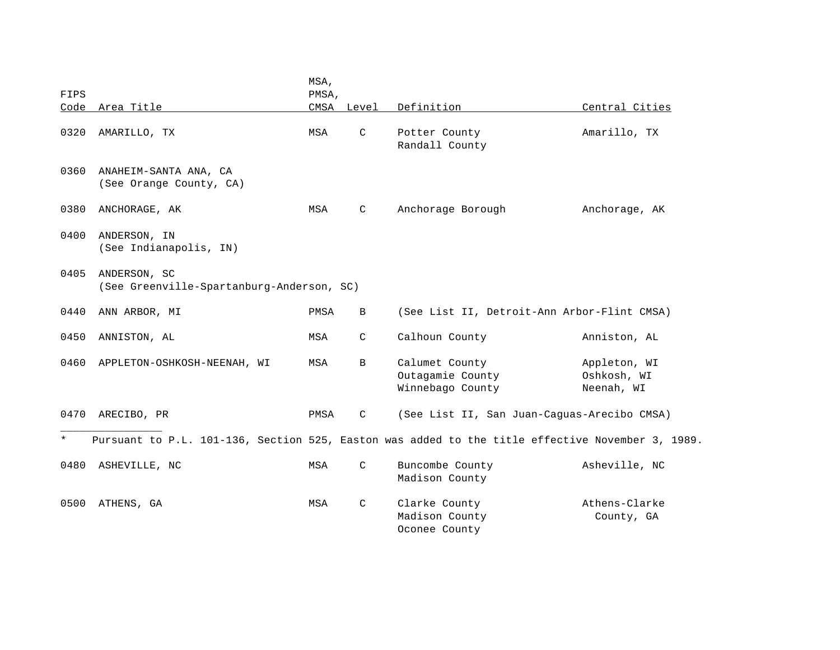|         |                                                                                                  | MSA,  |              |                                             |                |
|---------|--------------------------------------------------------------------------------------------------|-------|--------------|---------------------------------------------|----------------|
| FIPS    |                                                                                                  | PMSA, |              |                                             |                |
| Code    | Area Title                                                                                       |       | CMSA Level   | Definition                                  | Central Cities |
| 0320    | AMARILLO, TX                                                                                     | MSA   | $\mathsf{C}$ | Potter County                               | Amarillo, TX   |
|         |                                                                                                  |       |              | Randall County                              |                |
|         |                                                                                                  |       |              |                                             |                |
| 0360    | ANAHEIM-SANTA ANA, CA                                                                            |       |              |                                             |                |
|         | (See Orange County, CA)                                                                          |       |              |                                             |                |
|         |                                                                                                  |       |              |                                             |                |
| 0380    | ANCHORAGE, AK                                                                                    | MSA   | $\mathsf{C}$ | Anchorage Borough                           | Anchorage, AK  |
|         |                                                                                                  |       |              |                                             |                |
| 0400    | ANDERSON, IN                                                                                     |       |              |                                             |                |
|         | (See Indianapolis, IN)                                                                           |       |              |                                             |                |
|         |                                                                                                  |       |              |                                             |                |
| 0405    | ANDERSON, SC                                                                                     |       |              |                                             |                |
|         | (See Greenville-Spartanburg-Anderson, SC)                                                        |       |              |                                             |                |
|         |                                                                                                  |       |              |                                             |                |
| 0440    | ANN ARBOR, MI                                                                                    | PMSA  | $\, {\bf B}$ | (See List II, Detroit-Ann Arbor-Flint CMSA) |                |
|         |                                                                                                  |       | $\mathsf{C}$ |                                             |                |
| 0450    | ANNISTON, AL                                                                                     | MSA   |              | Calhoun County                              | Anniston, AL   |
| 0460    | APPLETON-OSHKOSH-NEENAH, WI                                                                      | MSA   | B            | Calumet County                              | Appleton, WI   |
|         |                                                                                                  |       |              | Outagamie County                            | Oshkosh, WI    |
|         |                                                                                                  |       |              | Winnebago County                            | Neenah, WI     |
|         |                                                                                                  |       |              |                                             |                |
| 0470    | ARECIBO, PR                                                                                      | PMSA  | C            | (See List II, San Juan-Caguas-Arecibo CMSA) |                |
|         |                                                                                                  |       |              |                                             |                |
| $\star$ | Pursuant to P.L. 101-136, Section 525, Easton was added to the title effective November 3, 1989. |       |              |                                             |                |
|         |                                                                                                  |       |              |                                             |                |
| 0480    | ASHEVILLE, NC                                                                                    | MSA   | C            | Buncombe County                             | Asheville, NC  |
|         |                                                                                                  |       |              | Madison County                              |                |
|         |                                                                                                  |       |              |                                             |                |
| 0500    | ATHENS, GA                                                                                       | MSA   | $\mathsf C$  | Clarke County                               | Athens-Clarke  |
|         |                                                                                                  |       |              | Madison County                              | County, GA     |
|         |                                                                                                  |       |              | Oconee County                               |                |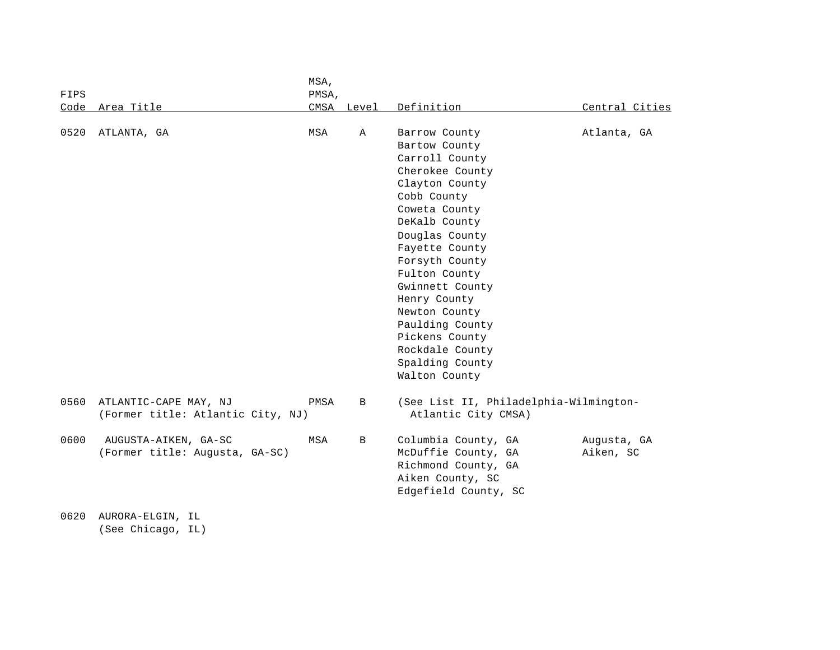|      |                                                            | MSA,  |              |                                                               |                |
|------|------------------------------------------------------------|-------|--------------|---------------------------------------------------------------|----------------|
| FIPS |                                                            | PMSA, |              |                                                               |                |
| Code | Area Title                                                 | CMSA  | Level        | Definition                                                    | Central Cities |
| 0520 | ATLANTA, GA                                                | MSA   | Α            | Barrow County                                                 | Atlanta, GA    |
|      |                                                            |       |              | Bartow County                                                 |                |
|      |                                                            |       |              | Carroll County                                                |                |
|      |                                                            |       |              | Cherokee County                                               |                |
|      |                                                            |       |              | Clayton County                                                |                |
|      |                                                            |       |              | Cobb County                                                   |                |
|      |                                                            |       |              | Coweta County                                                 |                |
|      |                                                            |       |              | DeKalb County                                                 |                |
|      |                                                            |       |              | Douglas County                                                |                |
|      |                                                            |       |              | Fayette County                                                |                |
|      |                                                            |       |              | Forsyth County                                                |                |
|      |                                                            |       |              | Fulton County                                                 |                |
|      |                                                            |       |              | Gwinnett County                                               |                |
|      |                                                            |       |              | Henry County                                                  |                |
|      |                                                            |       |              | Newton County                                                 |                |
|      |                                                            |       |              | Paulding County                                               |                |
|      |                                                            |       |              | Pickens County                                                |                |
|      |                                                            |       |              | Rockdale County                                               |                |
|      |                                                            |       |              | Spalding County                                               |                |
|      |                                                            |       |              | Walton County                                                 |                |
| 0560 | ATLANTIC-CAPE MAY, NJ<br>(Former title: Atlantic City, NJ) | PMSA  | $\, {\bf B}$ | (See List II, Philadelphia-Wilmington-<br>Atlantic City CMSA) |                |
| 0600 | AUGUSTA-AIKEN, GA-SC                                       | MSA   | B            | Columbia County, GA                                           | Augusta, GA    |
|      | (Former title: Augusta, GA-SC)                             |       |              | McDuffie County, GA                                           | Aiken, SC      |
|      |                                                            |       |              | Richmond County, GA                                           |                |
|      |                                                            |       |              | Aiken County, SC                                              |                |
|      |                                                            |       |              | Edgefield County, SC                                          |                |
| 0620 | AURORA-ELGIN, IL                                           |       |              |                                                               |                |

(See Chicago, IL)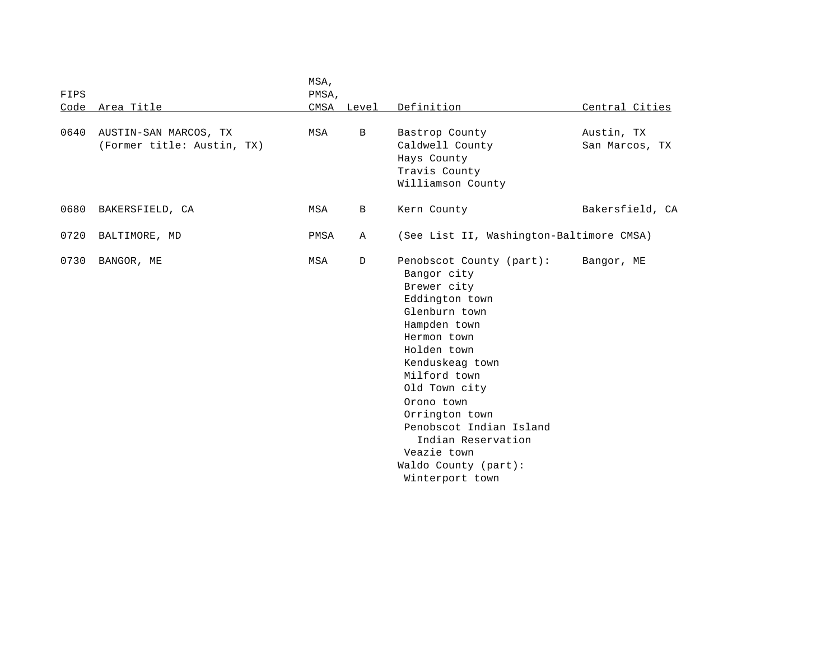|      |                                                     | MSA,  |              |                                                                                                                                                                                                                                                                                                                                        |                              |
|------|-----------------------------------------------------|-------|--------------|----------------------------------------------------------------------------------------------------------------------------------------------------------------------------------------------------------------------------------------------------------------------------------------------------------------------------------------|------------------------------|
| FIPS |                                                     | PMSA, |              |                                                                                                                                                                                                                                                                                                                                        |                              |
|      | Code Area Title                                     |       | CMSA Level   | Definition                                                                                                                                                                                                                                                                                                                             | Central Cities               |
| 0640 | AUSTIN-SAN MARCOS, TX<br>(Former title: Austin, TX) | MSA   | $\mathbf{B}$ | Bastrop County<br>Caldwell County<br>Hays County<br>Travis County<br>Williamson County                                                                                                                                                                                                                                                 | Austin, TX<br>San Marcos, TX |
| 0680 | BAKERSFIELD, CA                                     | MSA   | B            | Kern County                                                                                                                                                                                                                                                                                                                            | Bakersfield, CA              |
| 0720 | BALTIMORE, MD                                       | PMSA  | Α            | (See List II, Washington-Baltimore CMSA)                                                                                                                                                                                                                                                                                               |                              |
| 0730 | BANGOR, ME                                          | MSA   | $\mathbb{D}$ | Penobscot County (part):<br>Bangor city<br>Brewer city<br>Eddington town<br>Glenburn town<br>Hampden town<br>Hermon town<br>Holden town<br>Kenduskeag town<br>Milford town<br>Old Town city<br>Orono town<br>Orrington town<br>Penobscot Indian Island<br>Indian Reservation<br>Veazie town<br>Waldo County (part):<br>Winterport town | Bangor, ME                   |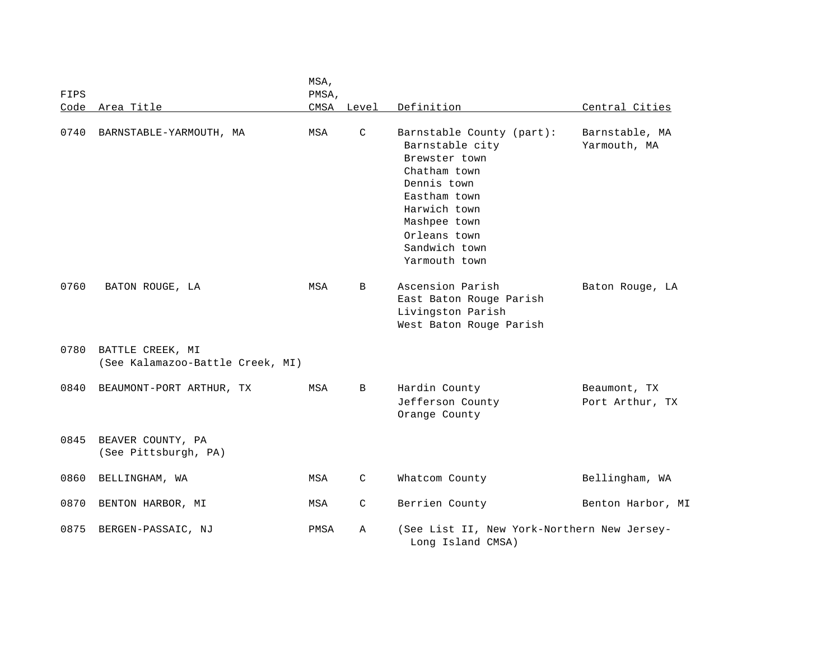| FIPS |                                                      | MSA,<br>PMSA, |              |                                                                                                                                                                                                |                                 |
|------|------------------------------------------------------|---------------|--------------|------------------------------------------------------------------------------------------------------------------------------------------------------------------------------------------------|---------------------------------|
|      | Code Area Title                                      |               | CMSA Level   | Definition                                                                                                                                                                                     | Central Cities                  |
| 0740 | BARNSTABLE-YARMOUTH, MA                              | MSA           | C            | Barnstable County (part):<br>Barnstable city<br>Brewster town<br>Chatham town<br>Dennis town<br>Eastham town<br>Harwich town<br>Mashpee town<br>Orleans town<br>Sandwich town<br>Yarmouth town | Barnstable, MA<br>Yarmouth, MA  |
| 0760 | BATON ROUGE, LA                                      | MSA           | B            | Ascension Parish<br>East Baton Rouge Parish<br>Livingston Parish<br>West Baton Rouge Parish                                                                                                    | Baton Rouge, LA                 |
| 0780 | BATTLE CREEK, MI<br>(See Kalamazoo-Battle Creek, MI) |               |              |                                                                                                                                                                                                |                                 |
| 0840 | BEAUMONT-PORT ARTHUR, TX                             | MSA           | B            | Hardin County<br>Jefferson County<br>Orange County                                                                                                                                             | Beaumont, TX<br>Port Arthur, TX |
| 0845 | BEAVER COUNTY, PA<br>(See Pittsburgh, PA)            |               |              |                                                                                                                                                                                                |                                 |
| 0860 | BELLINGHAM, WA                                       | MSA           | $\mathsf{C}$ | Whatcom County                                                                                                                                                                                 | Bellingham, WA                  |
| 0870 | BENTON HARBOR, MI                                    | MSA           | $\mathsf{C}$ | Berrien County                                                                                                                                                                                 | Benton Harbor, MI               |
| 0875 | BERGEN-PASSAIC, NJ                                   | PMSA          | Α            | (See List II, New York-Northern New Jersey-<br>Long Island CMSA)                                                                                                                               |                                 |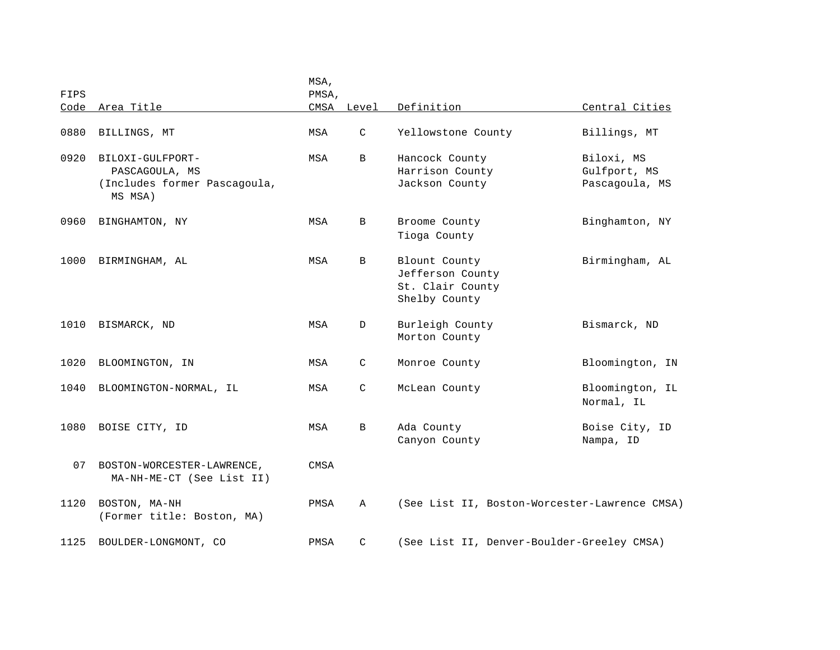| FIPS |                                                                               | MSA,<br>PMSA, |              |                                                                        |                                              |
|------|-------------------------------------------------------------------------------|---------------|--------------|------------------------------------------------------------------------|----------------------------------------------|
|      | Code Area Title                                                               |               | CMSA Level   | Definition                                                             | Central Cities                               |
| 0880 | BILLINGS, MT                                                                  | MSA           | $\mathsf{C}$ | Yellowstone County                                                     | Billings, MT                                 |
| 0920 | BILOXI-GULFPORT-<br>PASCAGOULA, MS<br>(Includes former Pascagoula,<br>MS MSA) | MSA           | B            | Hancock County<br>Harrison County<br>Jackson County                    | Biloxi, MS<br>Gulfport, MS<br>Pascagoula, MS |
| 0960 | BINGHAMTON, NY                                                                | MSA           | B            | Broome County<br>Tioga County                                          | Binghamton, NY                               |
| 1000 | BIRMINGHAM, AL                                                                | MSA           | B            | Blount County<br>Jefferson County<br>St. Clair County<br>Shelby County | Birmingham, AL                               |
| 1010 | BISMARCK, ND                                                                  | MSA           | D            | Burleigh County<br>Morton County                                       | Bismarck, ND                                 |
| 1020 | BLOOMINGTON, IN                                                               | MSA           | C            | Monroe County                                                          | Bloomington, IN                              |
| 1040 | BLOOMINGTON-NORMAL, IL                                                        | MSA           | C            | McLean County                                                          | Bloomington, IL<br>Normal, IL                |
| 1080 | BOISE CITY, ID                                                                | MSA           | B            | Ada County<br>Canyon County                                            | Boise City, ID<br>Nampa, ID                  |
| 07   | BOSTON-WORCESTER-LAWRENCE,<br>MA-NH-ME-CT (See List II)                       | CMSA          |              |                                                                        |                                              |
| 1120 | BOSTON, MA-NH<br>(Former title: Boston, MA)                                   | PMSA          | Α            | (See List II, Boston-Worcester-Lawrence CMSA)                          |                                              |
| 1125 | BOULDER-LONGMONT, CO                                                          | PMSA          | C            | (See List II, Denver-Boulder-Greeley CMSA)                             |                                              |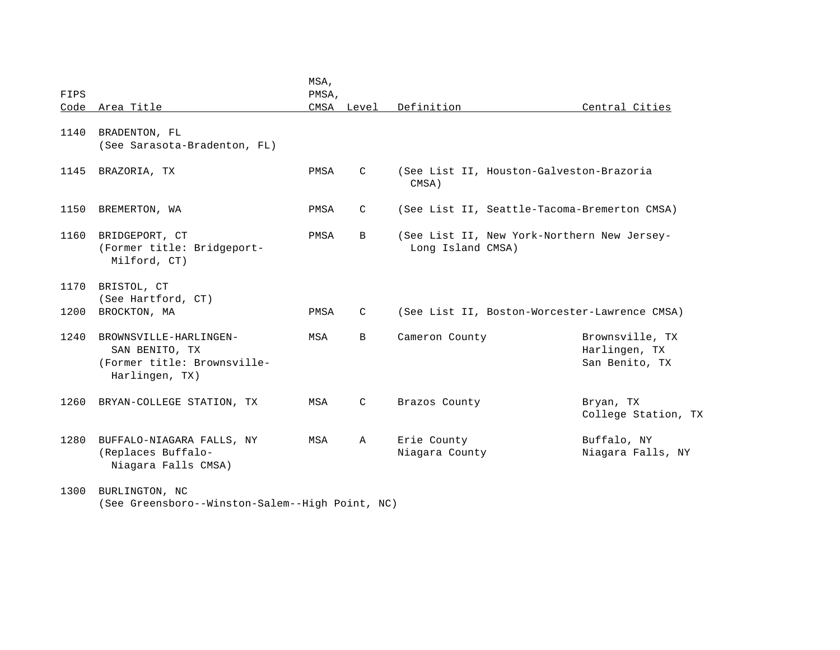|      |                                                                                           | MSA,  |              |                               |                                                    |
|------|-------------------------------------------------------------------------------------------|-------|--------------|-------------------------------|----------------------------------------------------|
| FIPS |                                                                                           | PMSA, |              |                               |                                                    |
| Code | Area Title                                                                                |       | CMSA Level   | Definition                    | Central Cities                                     |
| 1140 | BRADENTON, FL<br>(See Sarasota-Bradenton, FL)                                             |       |              |                               |                                                    |
| 1145 | BRAZORIA, TX                                                                              | PMSA  | C            | CMSA)                         | (See List II, Houston-Galveston-Brazoria           |
| 1150 | BREMERTON, WA                                                                             | PMSA  | C            |                               | (See List II, Seattle-Tacoma-Bremerton CMSA)       |
| 1160 | BRIDGEPORT, CT<br>(Former title: Bridgeport-<br>Milford, CT)                              | PMSA  | B            | Long Island CMSA)             | (See List II, New York-Northern New Jersey-        |
| 1170 | BRISTOL, CT<br>(See Hartford, CT)                                                         |       |              |                               |                                                    |
| 1200 | BROCKTON, MA                                                                              | PMSA  | C            |                               | (See List II, Boston-Worcester-Lawrence CMSA)      |
| 1240 | BROWNSVILLE-HARLINGEN-<br>SAN BENITO, TX<br>(Former title: Brownsville-<br>Harlingen, TX) | MSA   | B            | Cameron County                | Brownsville, TX<br>Harlingen, TX<br>San Benito, TX |
| 1260 | BRYAN-COLLEGE STATION, TX                                                                 | MSA   | $\mathsf{C}$ | Brazos County                 | Bryan, TX<br>College Station, TX                   |
| 1280 | BUFFALO-NIAGARA FALLS, NY<br>(Replaces Buffalo-<br>Niagara Falls CMSA)                    | MSA   | $\mathbb{A}$ | Erie County<br>Niagara County | Buffalo, NY<br>Niagara Falls, NY                   |
| 1300 | BURLINGTON, NC<br>(See Greensboro--Winston-Salem--High Point, NC)                         |       |              |                               |                                                    |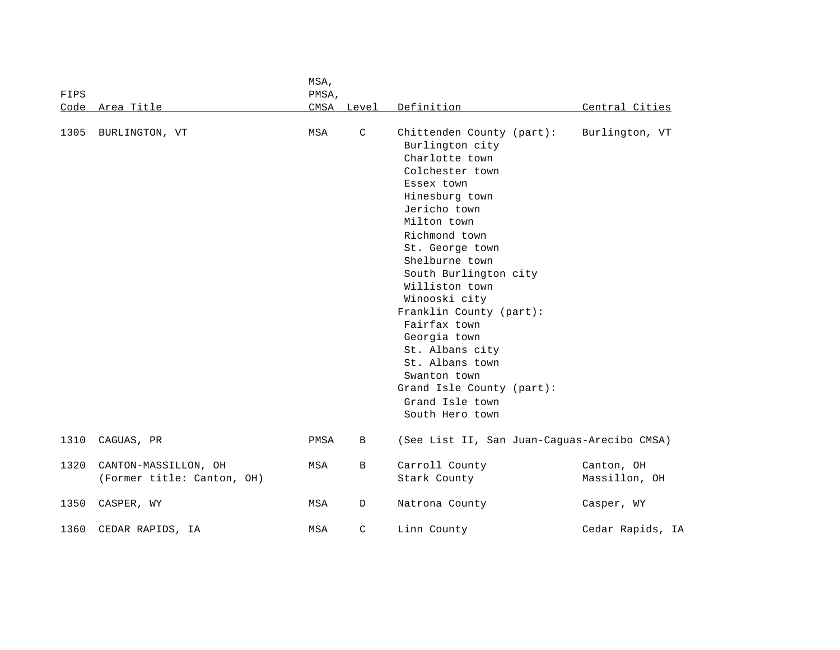| FIPS |                      |                            | MSA,<br>PMSA, |              |                                                                                                                                                                                                                                                                                                                                                                                                                                                        |                                             |  |
|------|----------------------|----------------------------|---------------|--------------|--------------------------------------------------------------------------------------------------------------------------------------------------------------------------------------------------------------------------------------------------------------------------------------------------------------------------------------------------------------------------------------------------------------------------------------------------------|---------------------------------------------|--|
|      | Code Area Title      |                            |               | CMSA Level   | Definition                                                                                                                                                                                                                                                                                                                                                                                                                                             | Central Cities                              |  |
| 1305 | BURLINGTON, VT       |                            | MSA           | $\mathsf C$  | Chittenden County (part):<br>Burlington city<br>Charlotte town<br>Colchester town<br>Essex town<br>Hinesburg town<br>Jericho town<br>Milton town<br>Richmond town<br>St. George town<br>Shelburne town<br>South Burlington city<br>Williston town<br>Winooski city<br>Franklin County (part):<br>Fairfax town<br>Georgia town<br>St. Albans city<br>St. Albans town<br>Swanton town<br>Grand Isle County (part):<br>Grand Isle town<br>South Hero town | Burlington, VT                              |  |
| 1310 | CAGUAS, PR           |                            | PMSA          | В            |                                                                                                                                                                                                                                                                                                                                                                                                                                                        | (See List II, San Juan-Caguas-Arecibo CMSA) |  |
| 1320 | CANTON-MASSILLON, OH | (Former title: Canton, OH) | MSA           | B            | Carroll County<br>Stark County                                                                                                                                                                                                                                                                                                                                                                                                                         | Canton, OH<br>Massillon, OH                 |  |
| 1350 | CASPER, WY           |                            | MSA           | D            | Natrona County                                                                                                                                                                                                                                                                                                                                                                                                                                         | Casper, WY                                  |  |
| 1360 | CEDAR RAPIDS, IA     |                            | MSA           | $\mathsf{C}$ | Linn County                                                                                                                                                                                                                                                                                                                                                                                                                                            | Cedar Rapids, IA                            |  |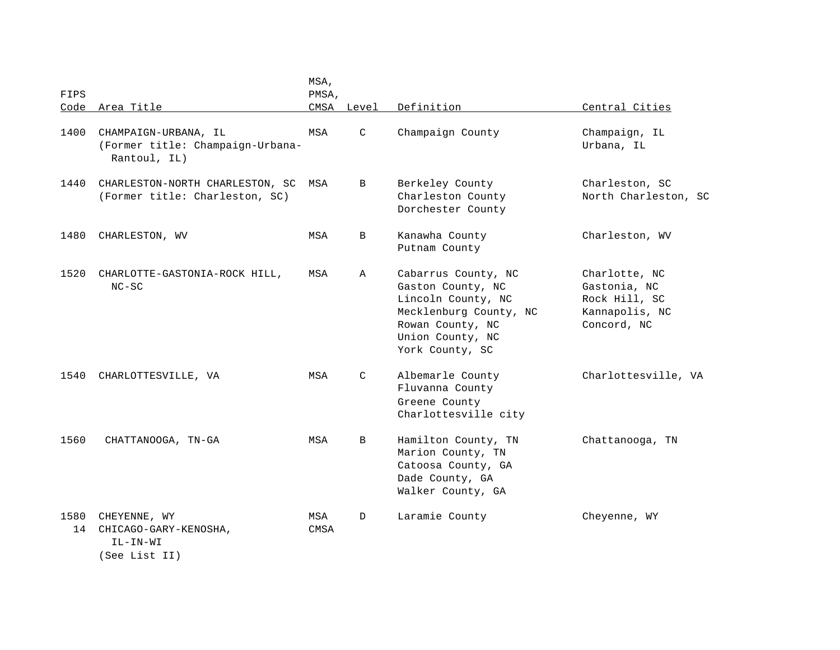| <b>FIPS</b> |                                                                          | MSA,<br>PMSA, |            |                                                                                                                                                     |                                                                                 |
|-------------|--------------------------------------------------------------------------|---------------|------------|-----------------------------------------------------------------------------------------------------------------------------------------------------|---------------------------------------------------------------------------------|
| Code        | Area Title                                                               |               | CMSA Level | Definition                                                                                                                                          | Central Cities                                                                  |
| 1400        | CHAMPAIGN-URBANA, IL<br>(Former title: Champaign-Urbana-<br>Rantoul, IL) | MSA           | C          | Champaign County                                                                                                                                    | Champaign, IL<br>Urbana, IL                                                     |
| 1440        | CHARLESTON-NORTH CHARLESTON, SC<br>(Former title: Charleston, SC)        | MSA           | B          | Berkeley County<br>Charleston County<br>Dorchester County                                                                                           | Charleston, SC<br>North Charleston, SC                                          |
| 1480        | CHARLESTON, WV                                                           | MSA           | В          | Kanawha County<br>Putnam County                                                                                                                     | Charleston, WV                                                                  |
| 1520        | CHARLOTTE-GASTONIA-ROCK HILL,<br>$NC-SC$                                 | MSA           | Α          | Cabarrus County, NC<br>Gaston County, NC<br>Lincoln County, NC<br>Mecklenburg County, NC<br>Rowan County, NC<br>Union County, NC<br>York County, SC | Charlotte, NC<br>Gastonia, NC<br>Rock Hill, SC<br>Kannapolis, NC<br>Concord, NC |
| 1540        | CHARLOTTESVILLE, VA                                                      | MSA           | C          | Albemarle County<br>Fluvanna County<br>Greene County<br>Charlottesville city                                                                        | Charlottesville, VA                                                             |
| 1560        | CHATTANOOGA, TN-GA                                                       | MSA           | B          | Hamilton County, TN<br>Marion County, TN<br>Catoosa County, GA<br>Dade County, GA<br>Walker County, GA                                              | Chattanooga, TN                                                                 |
| 1580<br>14  | CHEYENNE, WY<br>CHICAGO-GARY-KENOSHA,<br>IL-IN-WI<br>(See List II)       | MSA<br>CMSA   | D          | Laramie County                                                                                                                                      | Cheyenne, WY                                                                    |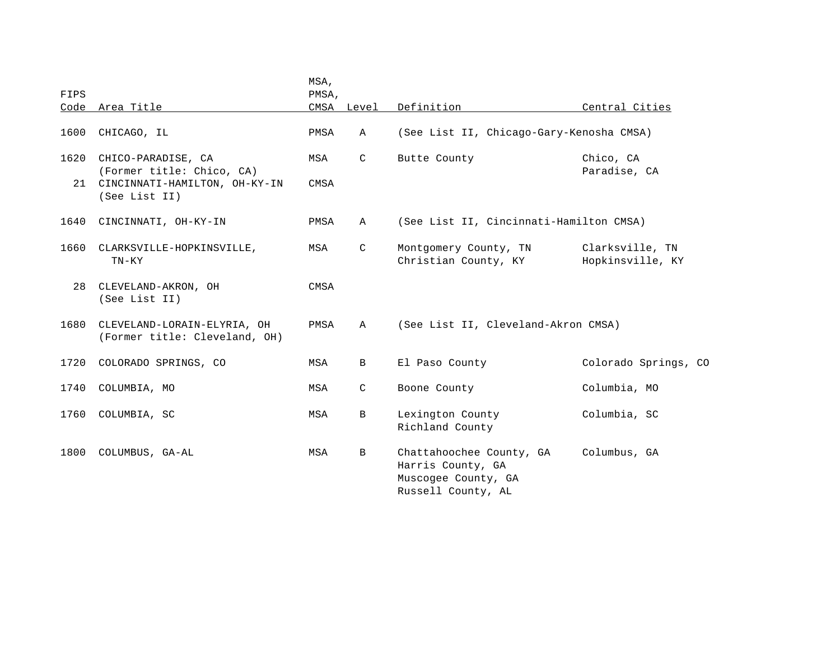| FIPS       |                                                                                                   | MSA,<br>PMSA, |              |                                                                                            |                                     |
|------------|---------------------------------------------------------------------------------------------------|---------------|--------------|--------------------------------------------------------------------------------------------|-------------------------------------|
|            | Code Area Title                                                                                   |               | CMSA Level   | Definition                                                                                 | Central Cities                      |
| 1600       | CHICAGO, IL                                                                                       | PMSA          | $\mathbb A$  | (See List II, Chicago-Gary-Kenosha CMSA)                                                   |                                     |
| 1620<br>21 | CHICO-PARADISE, CA<br>(Former title: Chico, CA)<br>CINCINNATI-HAMILTON, OH-KY-IN<br>(See List II) | MSA<br>CMSA   | $\mathsf{C}$ | Butte County                                                                               | Chico, CA<br>Paradise, CA           |
| 1640       | CINCINNATI, OH-KY-IN                                                                              | PMSA          | $\mathbb A$  | (See List II, Cincinnati-Hamilton CMSA)                                                    |                                     |
| 1660       | CLARKSVILLE-HOPKINSVILLE,<br>$TN-KY$                                                              | MSA           | C            | Montgomery County, TN<br>Christian County, KY                                              | Clarksville, TN<br>Hopkinsville, KY |
| 28         | CLEVELAND-AKRON, OH<br>(See List II)                                                              | CMSA          |              |                                                                                            |                                     |
| 1680       | CLEVELAND-LORAIN-ELYRIA, OH<br>(Former title: Cleveland, OH)                                      | PMSA          | $\mathbb A$  | (See List II, Cleveland-Akron CMSA)                                                        |                                     |
| 1720       | COLORADO SPRINGS, CO                                                                              | MSA           | B            | El Paso County                                                                             | Colorado Springs, CO                |
| 1740       | COLUMBIA, MO                                                                                      | MSA           | $\mathsf{C}$ | Boone County                                                                               | Columbia, MO                        |
| 1760       | COLUMBIA, SC                                                                                      | MSA           | B            | Lexington County<br>Richland County                                                        | Columbia, SC                        |
| 1800       | COLUMBUS, GA-AL                                                                                   | MSA           | B            | Chattahoochee County, GA<br>Harris County, GA<br>Muscogee County, GA<br>Russell County, AL | Columbus, GA                        |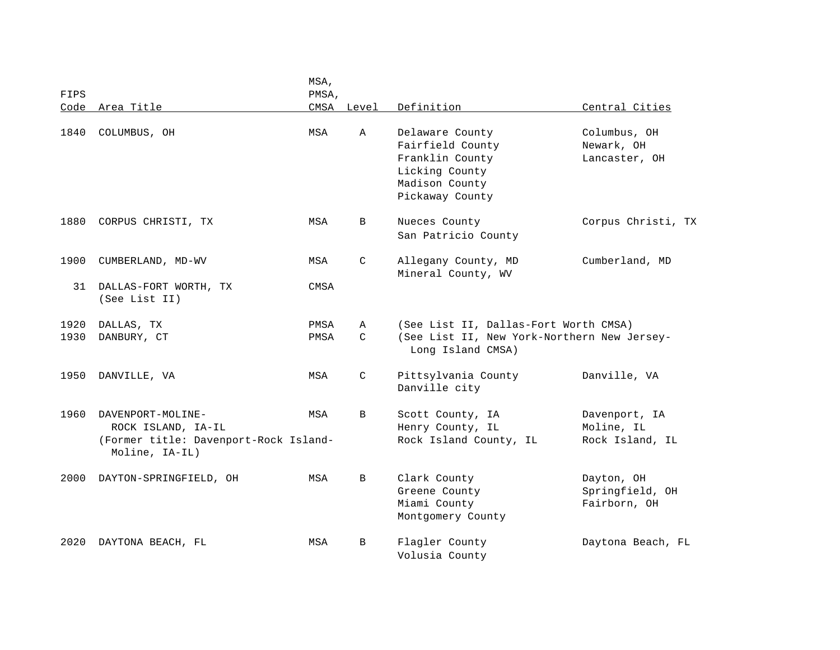|      |                                       | MSA,  |               |                                             |                    |
|------|---------------------------------------|-------|---------------|---------------------------------------------|--------------------|
| FIPS |                                       | PMSA, |               |                                             |                    |
| Code | Area Title                            |       | CMSA Level    | Definition                                  | Central Cities     |
|      |                                       |       |               |                                             |                    |
| 1840 | COLUMBUS, OH                          | MSA   | Α             | Delaware County                             | Columbus, OH       |
|      |                                       |       |               | Fairfield County                            | Newark, OH         |
|      |                                       |       |               | Franklin County                             | Lancaster, OH      |
|      |                                       |       |               | Licking County                              |                    |
|      |                                       |       |               | Madison County                              |                    |
|      |                                       |       |               | Pickaway County                             |                    |
| 1880 | CORPUS CHRISTI, TX                    | MSA   | B             | Nueces County                               | Corpus Christi, TX |
|      |                                       |       |               | San Patricio County                         |                    |
| 1900 | CUMBERLAND, MD-WV                     | MSA   | C             | Allegany County, MD                         | Cumberland, MD     |
|      |                                       |       |               | Mineral County, WV                          |                    |
| 31   | DALLAS-FORT WORTH, TX                 | CMSA  |               |                                             |                    |
|      | (See List II)                         |       |               |                                             |                    |
|      |                                       |       |               |                                             |                    |
| 1920 | DALLAS, TX                            | PMSA  | A             | (See List II, Dallas-Fort Worth CMSA)       |                    |
| 1930 | DANBURY, CT                           | PMSA  | $\mathcal{C}$ | (See List II, New York-Northern New Jersey- |                    |
|      |                                       |       |               | Long Island CMSA)                           |                    |
|      |                                       |       |               |                                             |                    |
| 1950 | DANVILLE, VA                          | MSA   | C             | Pittsylvania County                         | Danville, VA       |
|      |                                       |       |               | Danville city                               |                    |
|      |                                       |       |               |                                             |                    |
| 1960 | DAVENPORT-MOLINE-                     | MSA   | B             | Scott County, IA                            | Davenport, IA      |
|      | ROCK ISLAND, IA-IL                    |       |               | Henry County, IL                            | Moline, IL         |
|      | (Former title: Davenport-Rock Island- |       |               | Rock Island County, IL                      | Rock Island, IL    |
|      | Moline, IA-IL)                        |       |               |                                             |                    |
|      |                                       |       |               |                                             |                    |
| 2000 | DAYTON-SPRINGFIELD, OH                | MSA   | B             | Clark County                                | Dayton, OH         |
|      |                                       |       |               | Greene County                               | Springfield, OH    |
|      |                                       |       |               | Miami County                                | Fairborn, OH       |
|      |                                       |       |               | Montgomery County                           |                    |
| 2020 | DAYTONA BEACH, FL                     | MSA   | B             | Flagler County                              | Daytona Beach, FL  |
|      |                                       |       |               | Volusia County                              |                    |
|      |                                       |       |               |                                             |                    |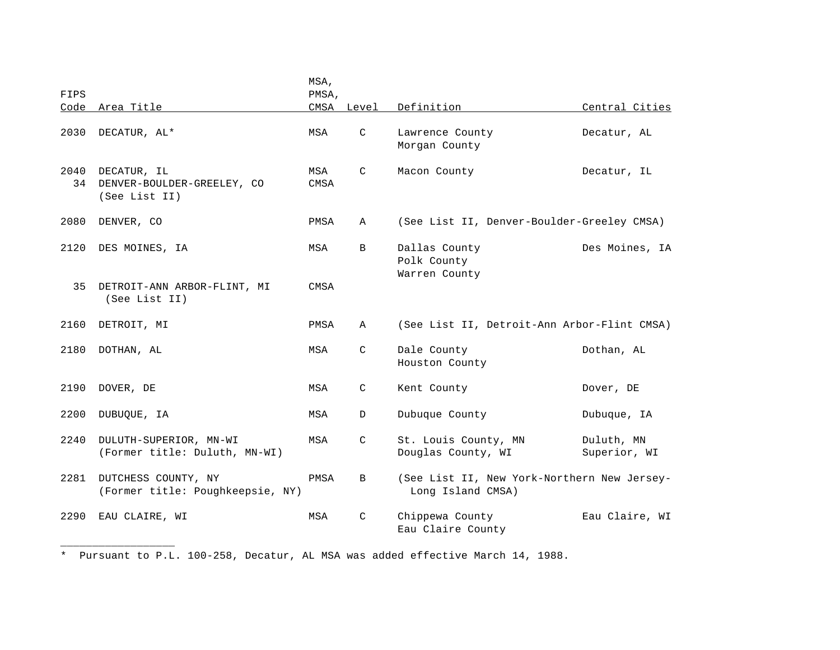|            |                                                            | MSA,        |               |                                                                  |                            |
|------------|------------------------------------------------------------|-------------|---------------|------------------------------------------------------------------|----------------------------|
| FIPS       |                                                            | PMSA,       |               |                                                                  |                            |
| Code       | Area Title                                                 |             | CMSA Level    | Definition                                                       | Central Cities             |
| 2030       | DECATUR, AL*                                               | MSA         | $\mathsf{C}$  | Lawrence County<br>Morgan County                                 | Decatur, AL                |
| 2040<br>34 | DECATUR, IL<br>DENVER-BOULDER-GREELEY, CO<br>(See List II) | MSA<br>CMSA | C             | Macon County                                                     | Decatur, IL                |
| 2080       | DENVER, CO                                                 | PMSA        | A             | (See List II, Denver-Boulder-Greeley CMSA)                       |                            |
| 2120       | DES MOINES, IA                                             | MSA         | B             | Dallas County<br>Polk County<br>Warren County                    | Des Moines, IA             |
| 35         | DETROIT-ANN ARBOR-FLINT, MI<br>(See List II)               | CMSA        |               |                                                                  |                            |
| 2160       | DETROIT, MI                                                | PMSA        | A             | (See List II, Detroit-Ann Arbor-Flint CMSA)                      |                            |
| 2180       | DOTHAN, AL                                                 | MSA         | $\mathsf{C}$  | Dale County<br>Houston County                                    | Dothan, AL                 |
| 2190       | DOVER, DE                                                  | MSA         | C             | Kent County                                                      | Dover, DE                  |
| 2200       | DUBUQUE, IA                                                | MSA         | D             | Dubuque County                                                   | Dubuque, IA                |
| 2240       | DULUTH-SUPERIOR, MN-WI<br>(Former title: Duluth, MN-WI)    | MSA         | C             | St. Louis County, MN<br>Douglas County, WI                       | Duluth, MN<br>Superior, WI |
| 2281       | DUTCHESS COUNTY, NY<br>(Former title: Poughkeepsie, NY)    | PMSA        | B             | (See List II, New York-Northern New Jersey-<br>Long Island CMSA) |                            |
| 2290       | EAU CLAIRE, WI                                             | MSA         | $\mathcal{C}$ | Chippewa County<br>Eau Claire County                             | Eau Claire, WI             |

\* Pursuant to P.L. 100-258, Decatur, AL MSA was added effective March 14, 1988.

\_\_\_\_\_\_\_\_\_\_\_\_\_\_\_\_\_\_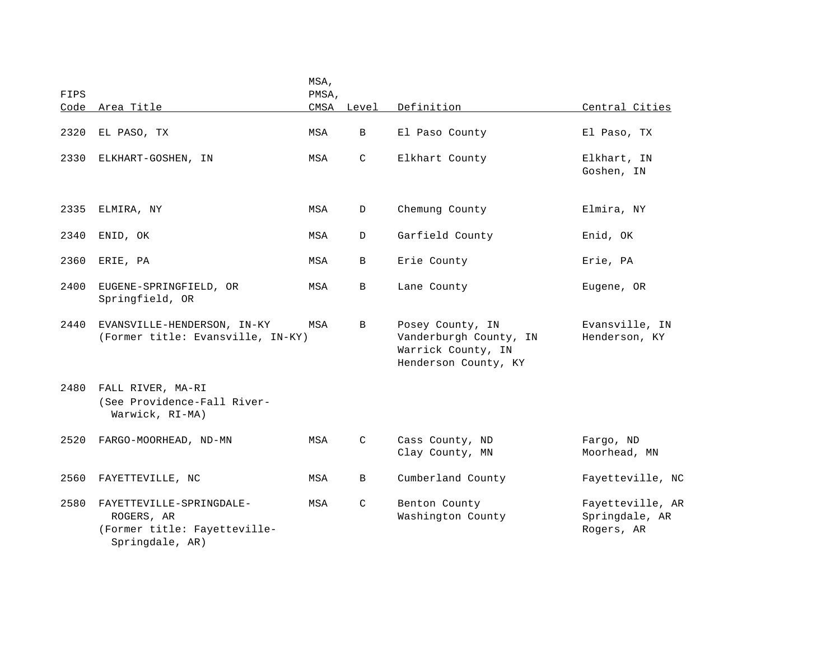| FIPS |                                                                                           | MSA,<br>PMSA, |               |                                                                                          |                                                  |
|------|-------------------------------------------------------------------------------------------|---------------|---------------|------------------------------------------------------------------------------------------|--------------------------------------------------|
|      | Code Area Title                                                                           |               | CMSA Level    | Definition                                                                               | Central Cities                                   |
| 2320 | EL PASO, TX                                                                               | MSA           | $\mathbf{B}$  | El Paso County                                                                           | El Paso, TX                                      |
| 2330 | ELKHART-GOSHEN, IN                                                                        | MSA           | $\mathsf{C}$  | Elkhart County                                                                           | Elkhart, IN<br>Goshen, IN                        |
| 2335 | ELMIRA, NY                                                                                | MSA           | D             | Chemung County                                                                           | Elmira, NY                                       |
| 2340 | ENID, OK                                                                                  | MSA           | D             | Garfield County                                                                          | Enid, OK                                         |
| 2360 | ERIE, PA                                                                                  | MSA           | B             | Erie County                                                                              | Erie, PA                                         |
| 2400 | EUGENE-SPRINGFIELD, OR<br>Springfield, OR                                                 | MSA           | B             | Lane County                                                                              | Eugene, OR                                       |
| 2440 | EVANSVILLE-HENDERSON, IN-KY<br>(Former title: Evansville, IN-KY)                          | MSA           | B             | Posey County, IN<br>Vanderburgh County, IN<br>Warrick County, IN<br>Henderson County, KY | Evansville, IN<br>Henderson, KY                  |
| 2480 | FALL RIVER, MA-RI<br>(See Providence-Fall River-<br>Warwick, RI-MA)                       |               |               |                                                                                          |                                                  |
| 2520 | FARGO-MOORHEAD, ND-MN                                                                     | MSA           | C             | Cass County, ND<br>Clay County, MN                                                       | Fargo, ND<br>Moorhead, MN                        |
| 2560 | FAYETTEVILLE, NC                                                                          | MSA           | B             | Cumberland County                                                                        | Fayetteville, NC                                 |
| 2580 | FAYETTEVILLE-SPRINGDALE-<br>ROGERS, AR<br>(Former title: Fayetteville-<br>Springdale, AR) | MSA           | $\mathcal{C}$ | Benton County<br>Washington County                                                       | Fayetteville, AR<br>Springdale, AR<br>Rogers, AR |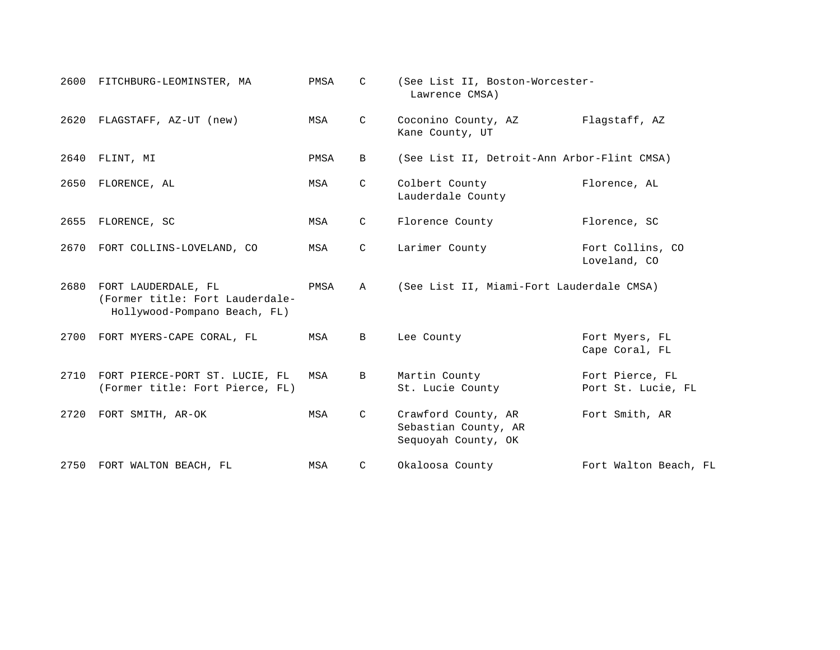| 2600 | FITCHBURG-LEOMINSTER, MA                                                               | PMSA | C           | (See List II, Boston-Worcester-<br>Lawrence CMSA)                  |                                       |
|------|----------------------------------------------------------------------------------------|------|-------------|--------------------------------------------------------------------|---------------------------------------|
| 2620 | FLAGSTAFF, AZ-UT (new)                                                                 | MSA  | C           | Coconino County, AZ<br>Kane County, UT                             | Flagstaff, AZ                         |
| 2640 | FLINT, MI                                                                              | PMSA | B           | (See List II, Detroit-Ann Arbor-Flint CMSA)                        |                                       |
| 2650 | FLORENCE, AL                                                                           | MSA  | C           | Colbert County<br>Lauderdale County                                | Florence, AL                          |
| 2655 | FLORENCE, SC                                                                           | MSA  | C           | Florence County                                                    | Florence, SC                          |
| 2670 | FORT COLLINS-LOVELAND, CO                                                              | MSA  | C           | Larimer County                                                     | Fort Collins, CO<br>Loveland, CO      |
| 2680 | FORT LAUDERDALE, FL<br>(Former title: Fort Lauderdale-<br>Hollywood-Pompano Beach, FL) | PMSA | A           | (See List II, Miami-Fort Lauderdale CMSA)                          |                                       |
|      | 2700 FORT MYERS-CAPE CORAL, FL                                                         | MSA  | $\mathbf B$ | Lee County                                                         | Fort Myers, FL<br>Cape Coral, FL      |
| 2710 | FORT PIERCE-PORT ST. LUCIE, FL<br>(Former title: Fort Pierce, FL)                      | MSA  | B           | Martin County<br>St. Lucie County                                  | Fort Pierce, FL<br>Port St. Lucie, FL |
| 2720 | FORT SMITH, AR-OK                                                                      | MSA  | C           | Crawford County, AR<br>Sebastian County, AR<br>Sequoyah County, OK | Fort Smith, AR                        |
| 2750 | FORT WALTON BEACH, FL                                                                  | MSA  | C           | Okaloosa County                                                    | Fort Walton Beach, FL                 |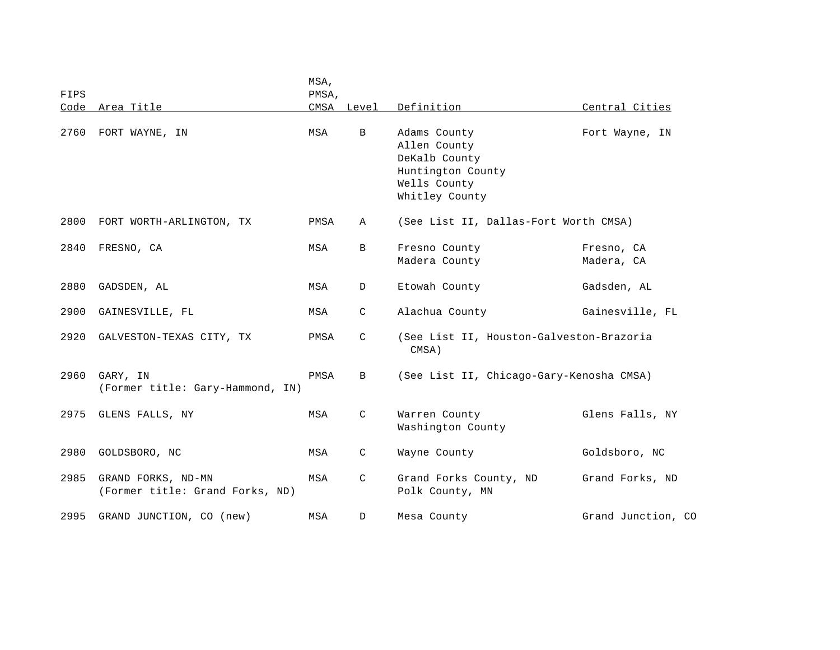| FIPS |                                                       | MSA,<br>PMSA, |               |                                                                                                      |                          |
|------|-------------------------------------------------------|---------------|---------------|------------------------------------------------------------------------------------------------------|--------------------------|
| Code | Area Title                                            |               | CMSA Level    | Definition                                                                                           | Central Cities           |
| 2760 | FORT WAYNE, IN                                        | MSA           | B             | Adams County<br>Allen County<br>DeKalb County<br>Huntington County<br>Wells County<br>Whitley County | Fort Wayne, IN           |
| 2800 | FORT WORTH-ARLINGTON, TX                              | PMSA          | Α             | (See List II, Dallas-Fort Worth CMSA)                                                                |                          |
| 2840 | FRESNO, CA                                            | MSA           | $\mathbf{B}$  | Fresno County<br>Madera County                                                                       | Fresno, CA<br>Madera, CA |
| 2880 | GADSDEN, AL                                           | MSA           | D             | Etowah County                                                                                        | Gadsden, AL              |
| 2900 | GAINESVILLE, FL                                       | MSA           | C             | Alachua County                                                                                       | Gainesville, FL          |
| 2920 | GALVESTON-TEXAS CITY, TX                              | PMSA          | $\mathcal{C}$ | (See List II, Houston-Galveston-Brazoria<br>CMSA)                                                    |                          |
| 2960 | GARY, IN<br>(Former title: Gary-Hammond, IN)          | PMSA          | B             | (See List II, Chicago-Gary-Kenosha CMSA)                                                             |                          |
| 2975 | GLENS FALLS, NY                                       | MSA           | $\mathsf{C}$  | Warren County<br>Washington County                                                                   | Glens Falls, NY          |
| 2980 | GOLDSBORO, NC                                         | MSA           | C             | Wayne County                                                                                         | Goldsboro, NC            |
| 2985 | GRAND FORKS, ND-MN<br>(Former title: Grand Forks, ND) | MSA           | $\mathsf{C}$  | Grand Forks County, ND<br>Polk County, MN                                                            | Grand Forks, ND          |
| 2995 | GRAND JUNCTION, CO (new)                              | MSA           | D             | Mesa County                                                                                          | Grand Junction, CO       |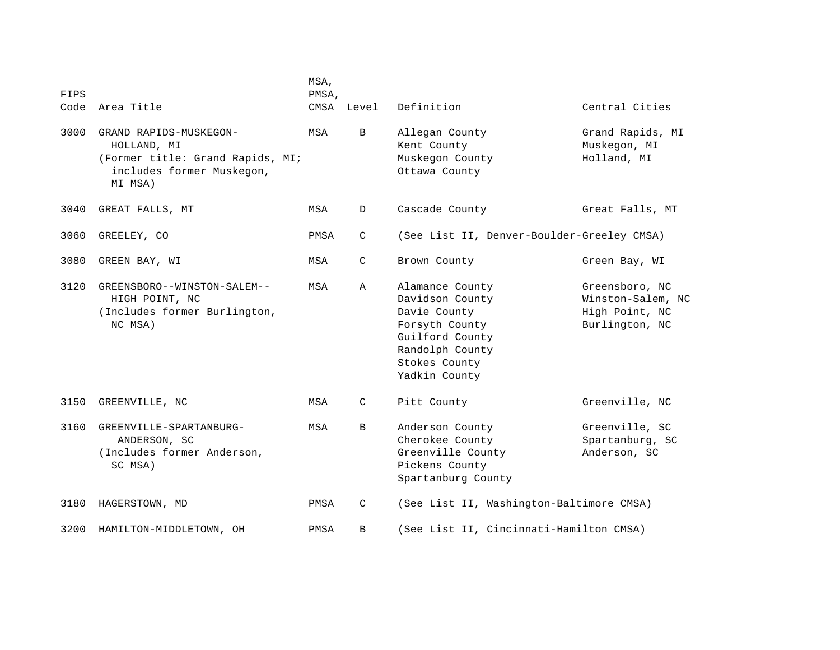| FIPS |                                                                                                                   | MSA,<br>PMSA, |            |                                                                                                                                              |                                                                         |
|------|-------------------------------------------------------------------------------------------------------------------|---------------|------------|----------------------------------------------------------------------------------------------------------------------------------------------|-------------------------------------------------------------------------|
| Code | Area Title                                                                                                        |               | CMSA Level | Definition                                                                                                                                   | Central Cities                                                          |
| 3000 | GRAND RAPIDS-MUSKEGON-<br>HOLLAND, MI<br>(Former title: Grand Rapids, MI;<br>includes former Muskegon,<br>MI MSA) | MSA           | B          | Allegan County<br>Kent County<br>Muskegon County<br>Ottawa County                                                                            | Grand Rapids, MI<br>Muskegon, MI<br>Holland, MI                         |
| 3040 | GREAT FALLS, MT                                                                                                   | MSA           | D          | Cascade County                                                                                                                               | Great Falls, MT                                                         |
| 3060 | GREELEY, CO                                                                                                       | PMSA          | C          | (See List II, Denver-Boulder-Greeley CMSA)                                                                                                   |                                                                         |
| 3080 | GREEN BAY, WI                                                                                                     | MSA           | C          | Brown County                                                                                                                                 | Green Bay, WI                                                           |
| 3120 | GREENSBORO--WINSTON-SALEM--<br>HIGH POINT, NC<br>(Includes former Burlington,<br>NC MSA)                          | MSA           | Α          | Alamance County<br>Davidson County<br>Davie County<br>Forsyth County<br>Guilford County<br>Randolph County<br>Stokes County<br>Yadkin County | Greensboro, NC<br>Winston-Salem, NC<br>High Point, NC<br>Burlington, NC |
| 3150 | GREENVILLE, NC                                                                                                    | MSA           | C          | Pitt County                                                                                                                                  | Greenville, NC                                                          |
| 3160 | GREENVILLE-SPARTANBURG-<br>ANDERSON, SC<br>(Includes former Anderson,<br>SC MSA)                                  | MSA           | B          | Anderson County<br>Cherokee County<br>Greenville County<br>Pickens County<br>Spartanburg County                                              | Greenville, SC<br>Spartanburg, SC<br>Anderson, SC                       |
| 3180 | HAGERSTOWN, MD                                                                                                    | PMSA          | C          | (See List II, Washington-Baltimore CMSA)                                                                                                     |                                                                         |
| 3200 | HAMILTON-MIDDLETOWN, OH                                                                                           | PMSA          | B          | (See List II, Cincinnati-Hamilton CMSA)                                                                                                      |                                                                         |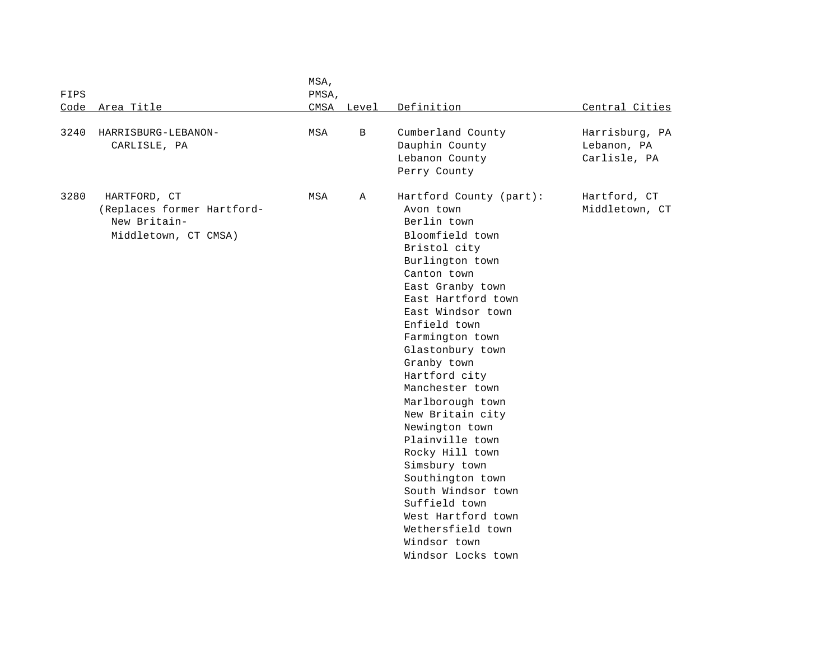| FIPS |                                                                                    | MSA,<br>PMSA, |              |                                                                                                                                                                                                                                                                                                                                                                                                                                                                                                                                                                |                                               |
|------|------------------------------------------------------------------------------------|---------------|--------------|----------------------------------------------------------------------------------------------------------------------------------------------------------------------------------------------------------------------------------------------------------------------------------------------------------------------------------------------------------------------------------------------------------------------------------------------------------------------------------------------------------------------------------------------------------------|-----------------------------------------------|
| Code | Area Title                                                                         |               | CMSA Level   | Definition                                                                                                                                                                                                                                                                                                                                                                                                                                                                                                                                                     | Central Cities                                |
| 3240 | HARRISBURG-LEBANON-<br>CARLISLE, PA                                                | MSA           | B            | Cumberland County<br>Dauphin County<br>Lebanon County<br>Perry County                                                                                                                                                                                                                                                                                                                                                                                                                                                                                          | Harrisburg, PA<br>Lebanon, PA<br>Carlisle, PA |
| 3280 | HARTFORD, CT<br>(Replaces former Hartford-<br>New Britain-<br>Middletown, CT CMSA) | MSA           | $\mathbb{A}$ | Hartford County (part):<br>Avon town<br>Berlin town<br>Bloomfield town<br>Bristol city<br>Burlington town<br>Canton town<br>East Granby town<br>East Hartford town<br>East Windsor town<br>Enfield town<br>Farmington town<br>Glastonbury town<br>Granby town<br>Hartford city<br>Manchester town<br>Marlborough town<br>New Britain city<br>Newington town<br>Plainville town<br>Rocky Hill town<br>Simsbury town<br>Southington town<br>South Windsor town<br>Suffield town<br>West Hartford town<br>Wethersfield town<br>Windsor town<br>Windsor Locks town | Hartford, CT<br>Middletown, CT                |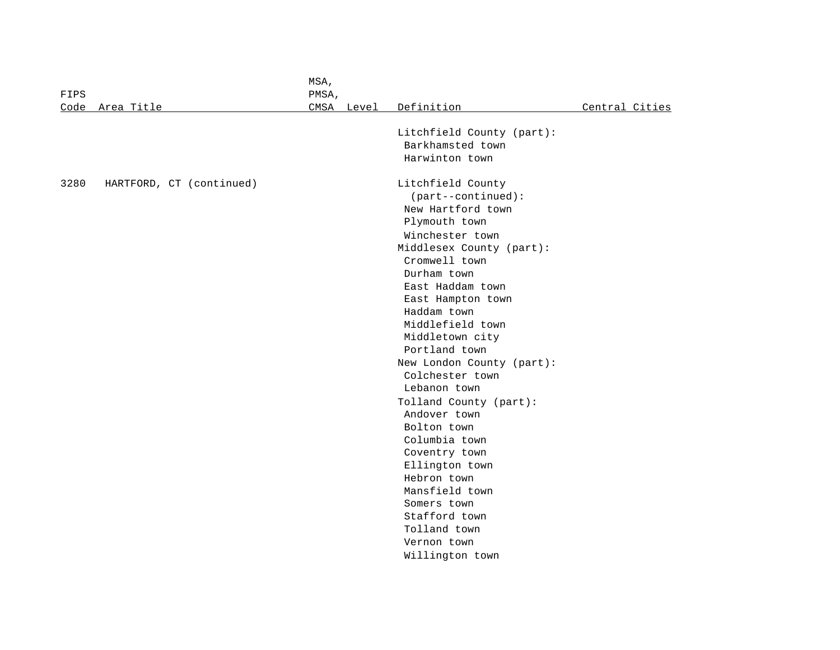|              |                          | MSA,  |            |                           |                |
|--------------|--------------------------|-------|------------|---------------------------|----------------|
| FIPS<br>Code | Area Title               | PMSA, | CMSA Level | Definition                | Central Cities |
|              |                          |       |            |                           |                |
|              |                          |       |            | Litchfield County (part): |                |
|              |                          |       |            | Barkhamsted town          |                |
|              |                          |       |            | Harwinton town            |                |
| 3280         | HARTFORD, CT (continued) |       |            | Litchfield County         |                |
|              |                          |       |            | $(part--continued):$      |                |
|              |                          |       |            | New Hartford town         |                |
|              |                          |       |            | Plymouth town             |                |
|              |                          |       |            | Winchester town           |                |
|              |                          |       |            | Middlesex County (part):  |                |
|              |                          |       |            | Cromwell town             |                |
|              |                          |       |            | Durham town               |                |
|              |                          |       |            | East Haddam town          |                |
|              |                          |       |            | East Hampton town         |                |
|              |                          |       |            | Haddam town               |                |
|              |                          |       |            | Middlefield town          |                |
|              |                          |       |            | Middletown city           |                |
|              |                          |       |            | Portland town             |                |
|              |                          |       |            | New London County (part): |                |
|              |                          |       |            | Colchester town           |                |
|              |                          |       |            | Lebanon town              |                |
|              |                          |       |            | Tolland County (part):    |                |
|              |                          |       |            | Andover town              |                |
|              |                          |       |            | Bolton town               |                |
|              |                          |       |            | Columbia town             |                |
|              |                          |       |            | Coventry town             |                |
|              |                          |       |            | Ellington town            |                |
|              |                          |       |            | Hebron town               |                |
|              |                          |       |            | Mansfield town            |                |
|              |                          |       |            | Somers town               |                |
|              |                          |       |            | Stafford town             |                |
|              |                          |       |            | Tolland town              |                |
|              |                          |       |            | Vernon town               |                |
|              |                          |       |            | Willington town           |                |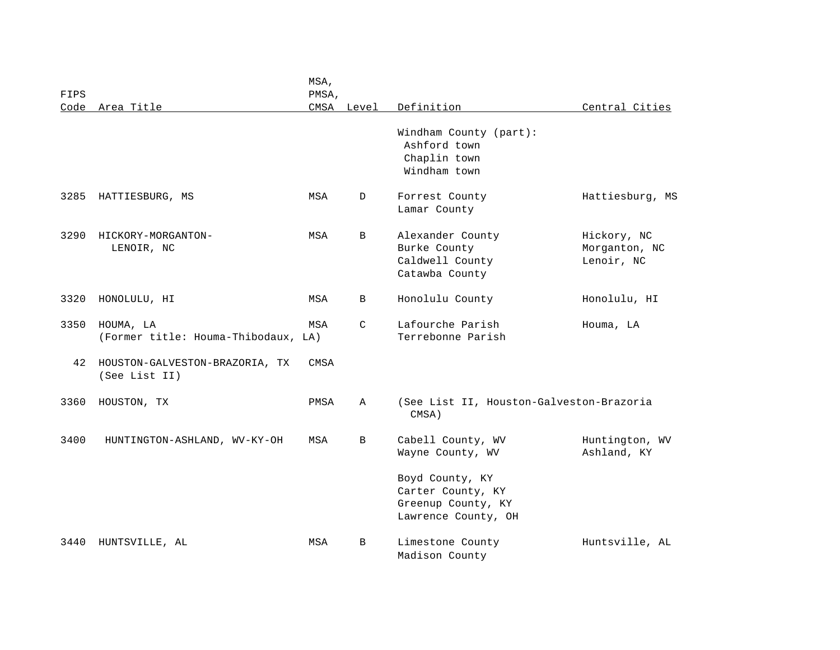| FIPS<br>Code | Area Title                                       | MSA,<br>PMSA, | CMSA Level | Definition                                                                                                                 | Central Cities                             |
|--------------|--------------------------------------------------|---------------|------------|----------------------------------------------------------------------------------------------------------------------------|--------------------------------------------|
|              |                                                  |               |            | Windham County (part):<br>Ashford town<br>Chaplin town<br>Windham town                                                     |                                            |
| 3285         | HATTIESBURG, MS                                  | MSA           | D          | Forrest County<br>Lamar County                                                                                             | Hattiesburg, MS                            |
| 3290         | HICKORY-MORGANTON-<br>LENOIR, NC                 | MSA           | B          | Alexander County<br>Burke County<br>Caldwell County<br>Catawba County                                                      | Hickory, NC<br>Morganton, NC<br>Lenoir, NC |
| 3320         | HONOLULU, HI                                     | MSA           | B          | Honolulu County                                                                                                            | Honolulu, HI                               |
| 3350         | HOUMA, LA<br>(Former title: Houma-Thibodaux, LA) | MSA           | C          | Lafourche Parish<br>Terrebonne Parish                                                                                      | Houma, LA                                  |
| 42           | HOUSTON-GALVESTON-BRAZORIA, TX<br>(See List II)  | CMSA          |            |                                                                                                                            |                                            |
| 3360         | HOUSTON, TX                                      | PMSA          | Α          | (See List II, Houston-Galveston-Brazoria<br>CMSA)                                                                          |                                            |
| 3400         | HUNTINGTON-ASHLAND, WV-KY-OH                     | MSA           | B          | Cabell County, WV<br>Wayne County, WV<br>Boyd County, KY<br>Carter County, KY<br>Greenup County, KY<br>Lawrence County, OH | Huntington, WV<br>Ashland, KY              |
| 3440         | HUNTSVILLE, AL                                   | MSA           | B          | Limestone County<br>Madison County                                                                                         | Huntsville, AL                             |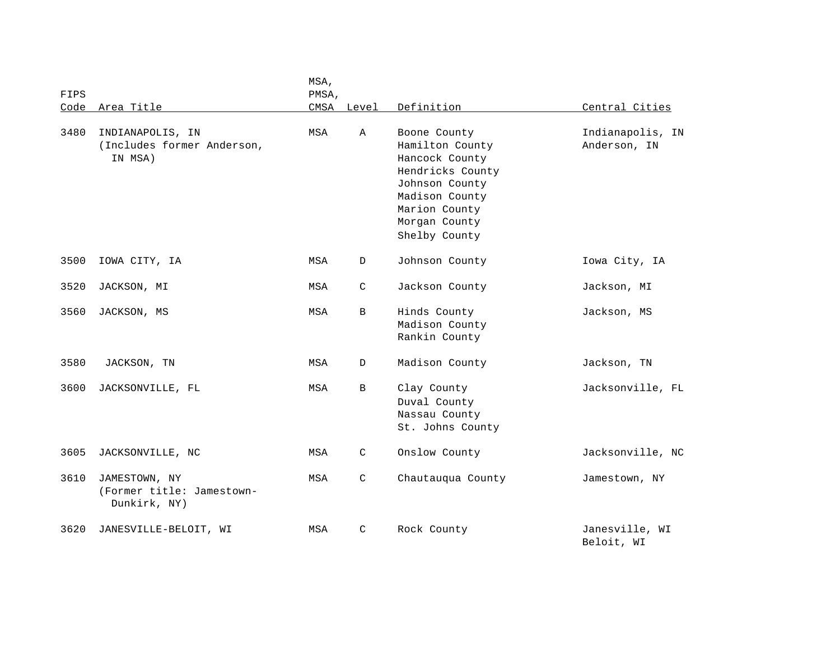| FIPS | Code Area Title                                            | MSA,<br>PMSA, | CMSA Level   | Definition                                                                                                                                                   | Central Cities                   |
|------|------------------------------------------------------------|---------------|--------------|--------------------------------------------------------------------------------------------------------------------------------------------------------------|----------------------------------|
|      |                                                            |               |              |                                                                                                                                                              |                                  |
| 3480 | INDIANAPOLIS, IN<br>(Includes former Anderson,<br>IN MSA)  | MSA           | A            | Boone County<br>Hamilton County<br>Hancock County<br>Hendricks County<br>Johnson County<br>Madison County<br>Marion County<br>Morgan County<br>Shelby County | Indianapolis, IN<br>Anderson, IN |
| 3500 | IOWA CITY, IA                                              | MSA           | D            | Johnson County                                                                                                                                               | Iowa City, IA                    |
| 3520 | JACKSON, MI                                                | MSA           | $\mathsf{C}$ | Jackson County                                                                                                                                               | Jackson, MI                      |
| 3560 | JACKSON, MS                                                | MSA           | B            | Hinds County<br>Madison County<br>Rankin County                                                                                                              | Jackson, MS                      |
| 3580 | JACKSON, TN                                                | MSA           | D            | Madison County                                                                                                                                               | Jackson, TN                      |
| 3600 | JACKSONVILLE, FL                                           | MSA           | $\mathbf{B}$ | Clay County<br>Duval County<br>Nassau County<br>St. Johns County                                                                                             | Jacksonville, FL                 |
| 3605 | JACKSONVILLE, NC                                           | MSA           | $\mathsf{C}$ | Onslow County                                                                                                                                                | Jacksonville, NC                 |
| 3610 | JAMESTOWN, NY<br>(Former title: Jamestown-<br>Dunkirk, NY) | MSA           | $\mathsf{C}$ | Chautauqua County                                                                                                                                            | Jamestown, NY                    |
| 3620 | JANESVILLE-BELOIT, WI                                      | MSA           | $\mathsf{C}$ | Rock County                                                                                                                                                  | Janesville, WI<br>Beloit, WI     |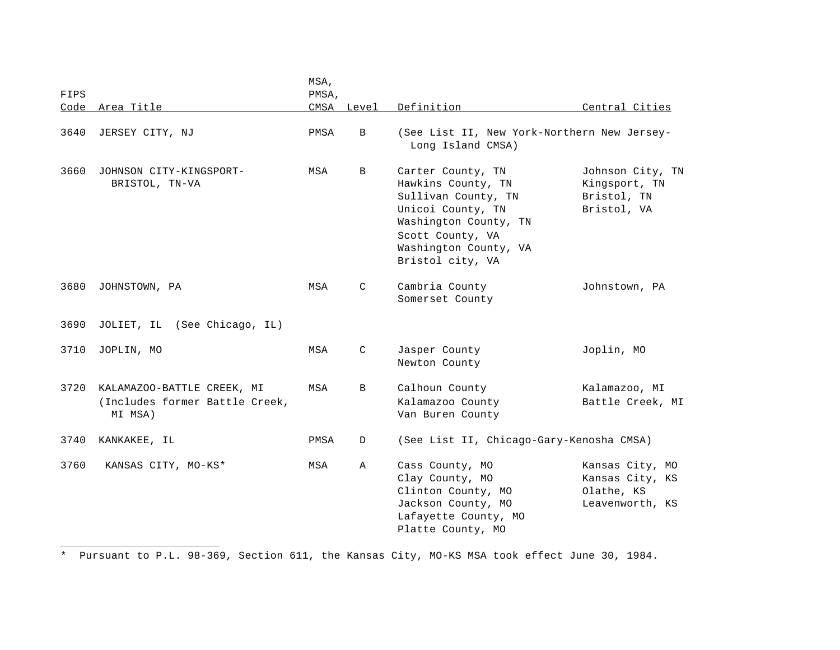| FIPS<br>Code | Area Title                                                              | MSA,<br>PMSA, | CMSA Level   | Definition                                                                                                                                                                    | Central Cities                                                      |
|--------------|-------------------------------------------------------------------------|---------------|--------------|-------------------------------------------------------------------------------------------------------------------------------------------------------------------------------|---------------------------------------------------------------------|
| 3640         | JERSEY CITY, NJ                                                         | PMSA          | B            | (See List II, New York-Northern New Jersey-<br>Long Island CMSA)                                                                                                              |                                                                     |
| 3660         | JOHNSON CITY-KINGSPORT-<br>BRISTOL, TN-VA                               | MSA           | B            | Carter County, TN<br>Hawkins County, TN<br>Sullivan County, TN<br>Unicoi County, TN<br>Washington County, TN<br>Scott County, VA<br>Washington County, VA<br>Bristol city, VA | Johnson City, TN<br>Kingsport, TN<br>Bristol, TN<br>Bristol, VA     |
| 3680         | JOHNSTOWN, PA                                                           | MSA           | $\mathsf{C}$ | Cambria County<br>Somerset County                                                                                                                                             | Johnstown, PA                                                       |
| 3690         | JOLIET, IL (See Chicago, IL)                                            |               |              |                                                                                                                                                                               |                                                                     |
| 3710         | JOPLIN, MO                                                              | MSA           | $\mathsf{C}$ | Jasper County<br>Newton County                                                                                                                                                | Joplin, MO                                                          |
| 3720         | KALAMAZOO-BATTLE CREEK, MI<br>(Includes former Battle Creek,<br>MI MSA) | MSA           | B            | Calhoun County<br>Kalamazoo County<br>Van Buren County                                                                                                                        | Kalamazoo, MI<br>Battle Creek, MI                                   |
| 3740         | KANKAKEE, IL                                                            | PMSA          | D            | (See List II, Chicago-Gary-Kenosha CMSA)                                                                                                                                      |                                                                     |
| 3760         | KANSAS CITY, MO-KS*                                                     | MSA           | Α            | Cass County, MO<br>Clay County, MO<br>Clinton County, MO<br>Jackson County, MO<br>Lafayette County, MO<br>Platte County, MO                                                   | Kansas City, MO<br>Kansas City, KS<br>Olathe, KS<br>Leavenworth, KS |

\* Pursuant to P.L. 98-369, Section 611, the Kansas City, MO-KS MSA took effect June 30, 1984.

\_\_\_\_\_\_\_\_\_\_\_\_\_\_\_\_\_\_\_\_\_\_\_\_\_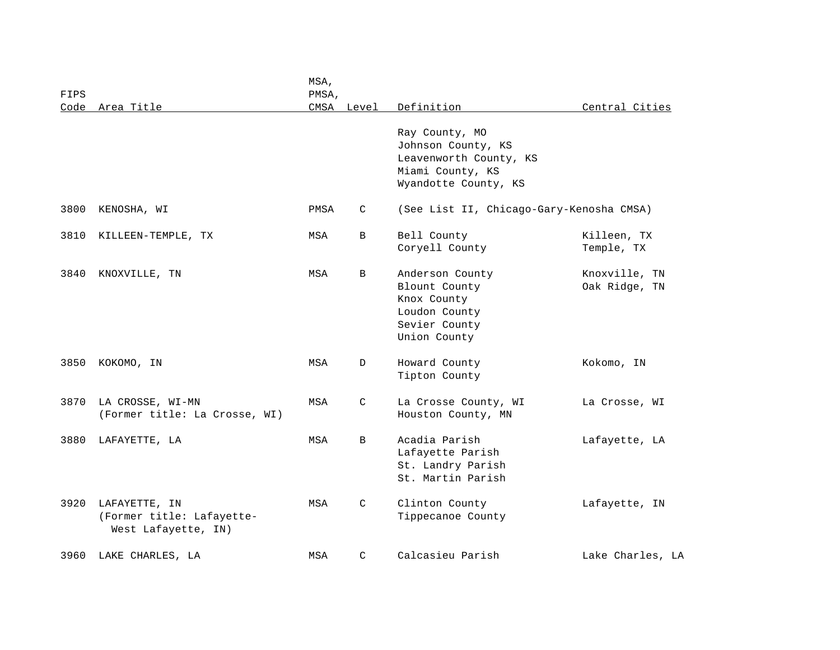| FIPS<br>Code | Area Title                                                        | MSA,<br>PMSA, | CMSA Level | Definition                                                                                                 | Central Cities                 |
|--------------|-------------------------------------------------------------------|---------------|------------|------------------------------------------------------------------------------------------------------------|--------------------------------|
|              |                                                                   |               |            | Ray County, MO<br>Johnson County, KS<br>Leavenworth County, KS<br>Miami County, KS<br>Wyandotte County, KS |                                |
| 3800         | KENOSHA, WI                                                       | PMSA          | C          | (See List II, Chicago-Gary-Kenosha CMSA)                                                                   |                                |
| 3810         | KILLEEN-TEMPLE, TX                                                | MSA           | B          | Bell County<br>Coryell County                                                                              | Killeen, TX<br>Temple, TX      |
| 3840         | KNOXVILLE, TN                                                     | MSA           | B          | Anderson County<br>Blount County<br>Knox County<br>Loudon County<br>Sevier County<br>Union County          | Knoxville, TN<br>Oak Ridge, TN |
| 3850         | KOKOMO, IN                                                        | MSA           | D          | Howard County<br>Tipton County                                                                             | Kokomo, IN                     |
| 3870         | LA CROSSE, WI-MN<br>(Former title: La Crosse, WI)                 | MSA           | C          | La Crosse County, WI<br>Houston County, MN                                                                 | La Crosse, WI                  |
| 3880         | LAFAYETTE, LA                                                     | MSA           | B          | Acadia Parish<br>Lafayette Parish<br>St. Landry Parish<br>St. Martin Parish                                | Lafayette, LA                  |
| 3920         | LAFAYETTE, IN<br>(Former title: Lafayette-<br>West Lafayette, IN) | MSA           | C          | Clinton County<br>Tippecanoe County                                                                        | Lafayette, IN                  |
| 3960         | LAKE CHARLES, LA                                                  | MSA           | C          | Calcasieu Parish                                                                                           | Lake Charles, LA               |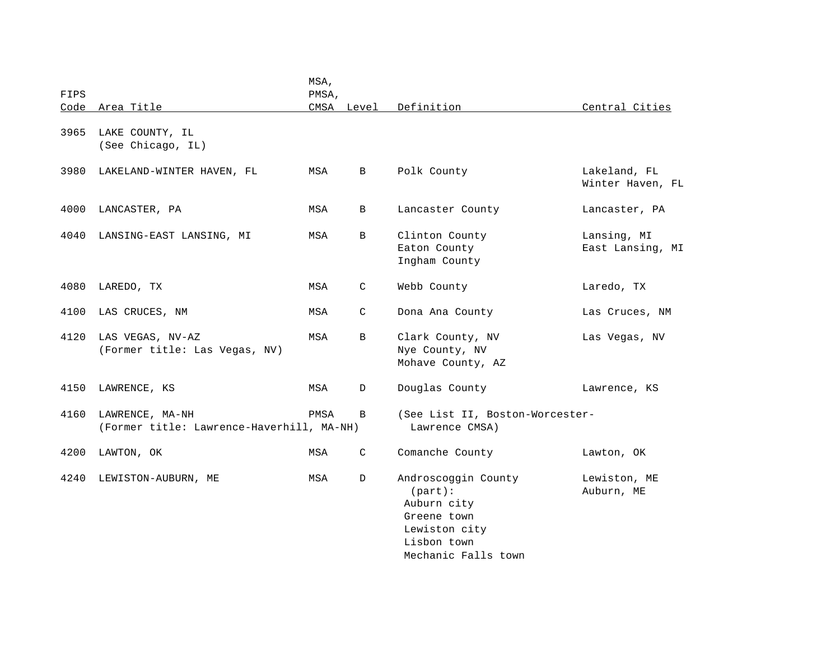| FIPS |                                                              | MSA,<br>PMSA, |              |                                                                                                                     |                                  |
|------|--------------------------------------------------------------|---------------|--------------|---------------------------------------------------------------------------------------------------------------------|----------------------------------|
|      | Code Area Title                                              |               | CMSA Level   | Definition                                                                                                          | Central Cities                   |
| 3965 | LAKE COUNTY, IL<br>(See Chicago, IL)                         |               |              |                                                                                                                     |                                  |
| 3980 | LAKELAND-WINTER HAVEN, FL                                    | MSA           | B            | Polk County                                                                                                         | Lakeland, FL<br>Winter Haven, FL |
| 4000 | LANCASTER, PA                                                | MSA           | $\, {\bf B}$ | Lancaster County                                                                                                    | Lancaster, PA                    |
| 4040 | LANSING-EAST LANSING, MI                                     | MSA           | B            | Clinton County<br>Eaton County<br>Ingham County                                                                     | Lansing, MI<br>East Lansing, MI  |
| 4080 | LAREDO, TX                                                   | MSA           | C            | Webb County                                                                                                         | Laredo, TX                       |
| 4100 | LAS CRUCES, NM                                               | MSA           | C            | Dona Ana County                                                                                                     | Las Cruces, NM                   |
| 4120 | LAS VEGAS, NV-AZ<br>(Former title: Las Vegas, NV)            | MSA           | B            | Clark County, NV<br>Nye County, NV<br>Mohave County, AZ                                                             | Las Vegas, NV                    |
| 4150 | LAWRENCE, KS                                                 | MSA           | D            | Douglas County                                                                                                      | Lawrence, KS                     |
| 4160 | LAWRENCE, MA-NH<br>(Former title: Lawrence-Haverhill, MA-NH) | PMSA          | B            | (See List II, Boston-Worcester-<br>Lawrence CMSA)                                                                   |                                  |
| 4200 | LAWTON, OK                                                   | MSA           | C            | Comanche County                                                                                                     | Lawton, OK                       |
| 4240 | LEWISTON-AUBURN, ME                                          | MSA           | D            | Androscoggin County<br>(part):<br>Auburn city<br>Greene town<br>Lewiston city<br>Lisbon town<br>Mechanic Falls town | Lewiston, ME<br>Auburn, ME       |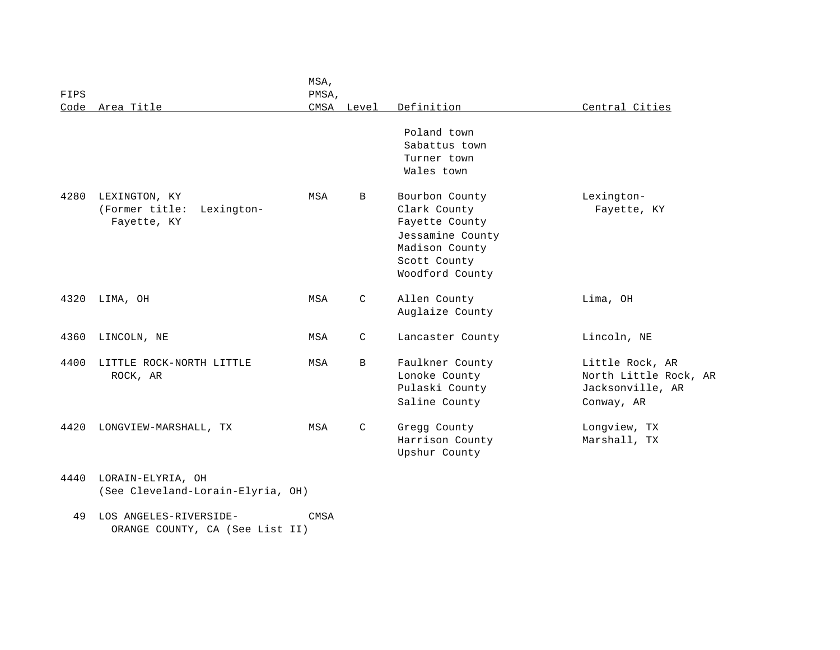| FIPS |                                                              | MSA,<br>PMSA, |              |                                                                                                                           |                                                                            |
|------|--------------------------------------------------------------|---------------|--------------|---------------------------------------------------------------------------------------------------------------------------|----------------------------------------------------------------------------|
|      | Code Area Title                                              |               | CMSA Level   | Definition                                                                                                                | Central Cities                                                             |
|      |                                                              |               |              | Poland town<br>Sabattus town<br>Turner town<br>Wales town                                                                 |                                                                            |
| 4280 | LEXINGTON, KY<br>(Former title:<br>Lexington-<br>Fayette, KY | MSA           | B            | Bourbon County<br>Clark County<br>Fayette County<br>Jessamine County<br>Madison County<br>Scott County<br>Woodford County | Lexington-<br>Fayette, KY                                                  |
| 4320 | LIMA, OH                                                     | MSA           | $\mathsf{C}$ | Allen County<br>Auglaize County                                                                                           | Lima, OH                                                                   |
| 4360 | LINCOLN, NE                                                  | MSA           | $\mathsf{C}$ | Lancaster County                                                                                                          | Lincoln, NE                                                                |
| 4400 | LITTLE ROCK-NORTH LITTLE<br>ROCK, AR                         | MSA           | B            | Faulkner County<br>Lonoke County<br>Pulaski County<br>Saline County                                                       | Little Rock, AR<br>North Little Rock, AR<br>Jacksonville, AR<br>Conway, AR |
| 4420 | LONGVIEW-MARSHALL, TX                                        | MSA           | C            | Gregg County<br>Harrison County<br>Upshur County                                                                          | Longview, TX<br>Marshall, TX                                               |
| 4440 | LORAIN-ELYRIA, OH<br>(See Cleveland-Lorain-Elyria, OH)       |               |              |                                                                                                                           |                                                                            |

 49 LOS ANGELES-RIVERSIDE- CMSA ORANGE COUNTY, CA (See List II)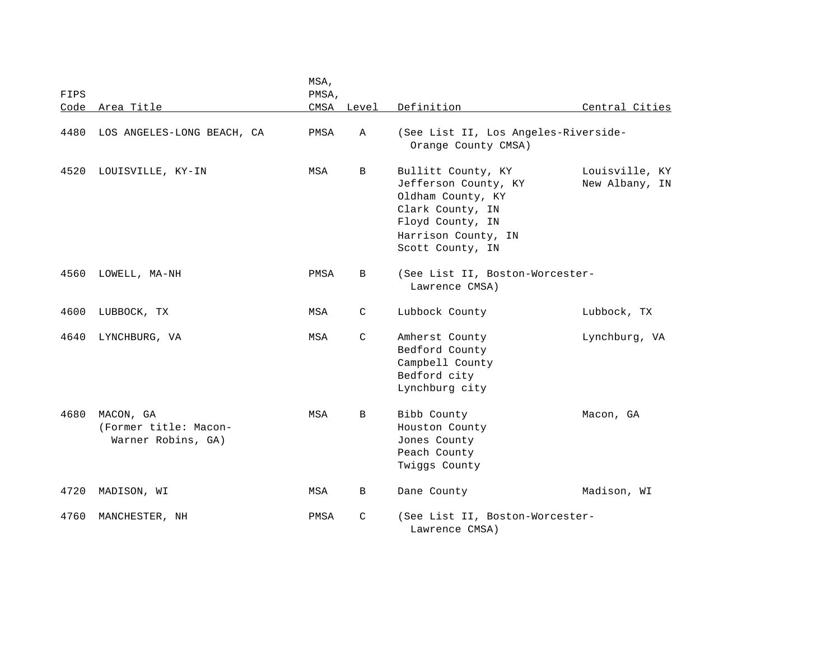|      |                                                          | MSA,  |            |                                                                                                                                                    |                                  |
|------|----------------------------------------------------------|-------|------------|----------------------------------------------------------------------------------------------------------------------------------------------------|----------------------------------|
| FIPS |                                                          | PMSA, |            |                                                                                                                                                    |                                  |
| Code | Area Title                                               |       | CMSA Level | Definition                                                                                                                                         | Central Cities                   |
| 4480 | LOS ANGELES-LONG BEACH, CA                               | PMSA  | Α          | (See List II, Los Angeles-Riverside-<br>Orange County CMSA)                                                                                        |                                  |
| 4520 | LOUISVILLE, KY-IN                                        | MSA   | B          | Bullitt County, KY<br>Jefferson County, KY<br>Oldham County, KY<br>Clark County, IN<br>Floyd County, IN<br>Harrison County, IN<br>Scott County, IN | Louisville, KY<br>New Albany, IN |
| 4560 | LOWELL, MA-NH                                            | PMSA  | B          | (See List II, Boston-Worcester-<br>Lawrence CMSA)                                                                                                  |                                  |
| 4600 | LUBBOCK, TX                                              | MSA   | C          | Lubbock County                                                                                                                                     | Lubbock, TX                      |
| 4640 | LYNCHBURG, VA                                            | MSA   | C          | Amherst County<br>Bedford County<br>Campbell County<br>Bedford city<br>Lynchburg city                                                              | Lynchburg, VA                    |
| 4680 | MACON, GA<br>(Former title: Macon-<br>Warner Robins, GA) | MSA   | B          | Bibb County<br>Houston County<br>Jones County<br>Peach County<br>Twiggs County                                                                     | Macon, GA                        |
| 4720 | MADISON, WI                                              | MSA   | В          | Dane County                                                                                                                                        | Madison, WI                      |
| 4760 | MANCHESTER, NH                                           | PMSA  | C          | (See List II, Boston-Worcester-<br>Lawrence CMSA)                                                                                                  |                                  |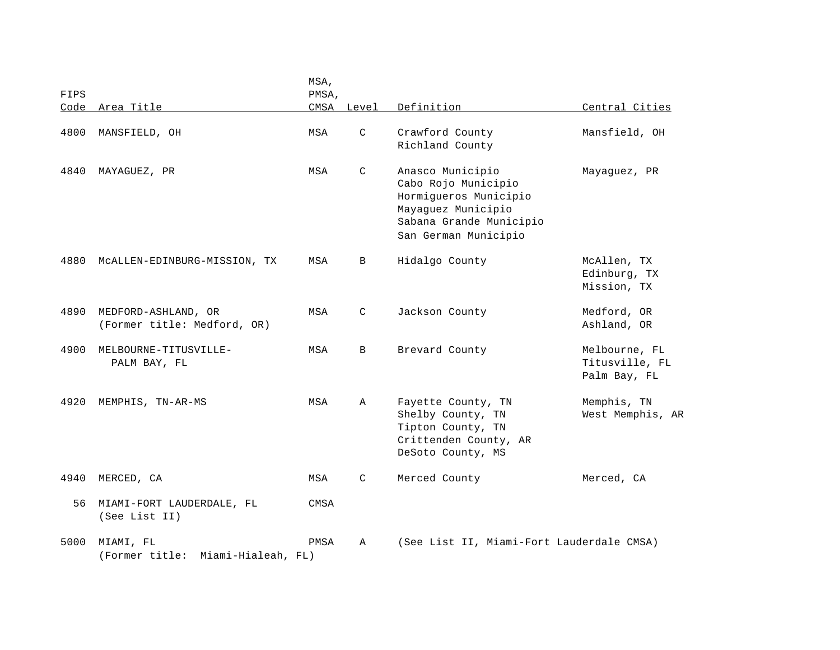| FIPS |                                                    | MSA,<br>PMSA, |             |                                                                                                                                           |                                                 |
|------|----------------------------------------------------|---------------|-------------|-------------------------------------------------------------------------------------------------------------------------------------------|-------------------------------------------------|
| Code | Area Title                                         | CMSA          | Level       | Definition                                                                                                                                | Central Cities                                  |
| 4800 | MANSFIELD, OH                                      | MSA           | C           | Crawford County<br>Richland County                                                                                                        | Mansfield, OH                                   |
| 4840 | MAYAGUEZ, PR                                       | MSA           | C           | Anasco Municipio<br>Cabo Rojo Municipio<br>Hormigueros Municipio<br>Mayaguez Municipio<br>Sabana Grande Municipio<br>San German Municipio | Mayaquez, PR                                    |
| 4880 | MCALLEN-EDINBURG-MISSION, TX                       | MSA           | B           | Hidalgo County                                                                                                                            | McAllen, TX<br>Edinburg, TX<br>Mission, TX      |
| 4890 | MEDFORD-ASHLAND, OR<br>(Former title: Medford, OR) | MSA           | C           | Jackson County                                                                                                                            | Medford, OR<br>Ashland, OR                      |
| 4900 | MELBOURNE-TITUSVILLE-<br>PALM BAY, FL              | MSA           | B           | Brevard County                                                                                                                            | Melbourne, FL<br>Titusville, FL<br>Palm Bay, FL |
| 4920 | MEMPHIS, TN-AR-MS                                  | MSA           | Α           | Fayette County, TN<br>Shelby County, TN<br>Tipton County, TN<br>Crittenden County, AR<br>DeSoto County, MS                                | Memphis, TN<br>West Memphis, AR                 |
| 4940 | MERCED, CA                                         | MSA           | C           | Merced County                                                                                                                             | Merced, CA                                      |
| 56   | MIAMI-FORT LAUDERDALE, FL<br>(See List II)         | CMSA          |             |                                                                                                                                           |                                                 |
| 5000 | MIAMI, FL<br>(Former title:<br>Miami-Hialeah, FL)  | PMSA          | $\mathbb A$ | (See List II, Miami-Fort Lauderdale CMSA)                                                                                                 |                                                 |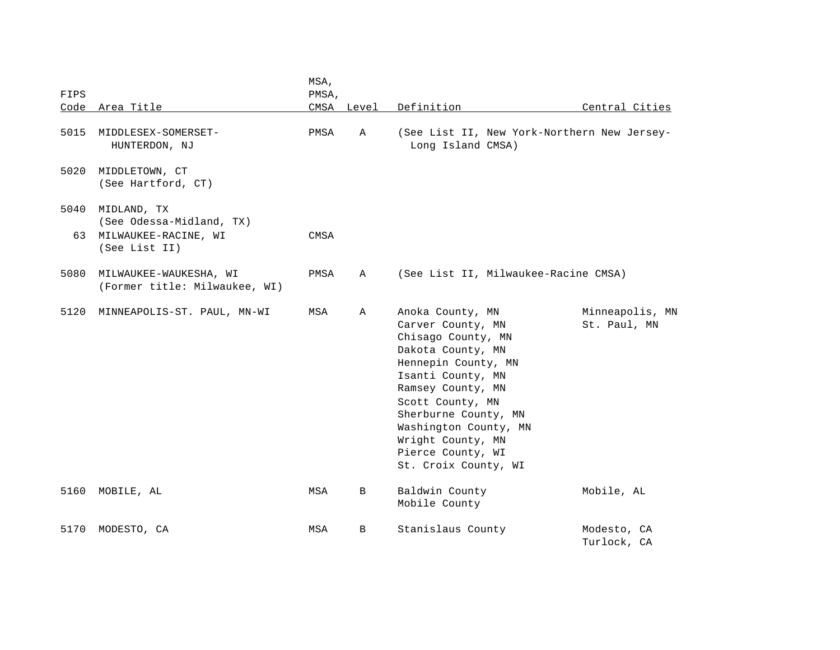| FIPS       | Code Area Title                                                                  | MSA,<br>PMSA, | CMSA Level | Definition                                                                                                                                                                                                                                                                               | Central Cities                              |
|------------|----------------------------------------------------------------------------------|---------------|------------|------------------------------------------------------------------------------------------------------------------------------------------------------------------------------------------------------------------------------------------------------------------------------------------|---------------------------------------------|
| 5015       | MIDDLESEX-SOMERSET-<br>HUNTERDON, NJ                                             | PMSA          | Α          | Long Island CMSA)                                                                                                                                                                                                                                                                        | (See List II, New York-Northern New Jersey- |
| 5020       | MIDDLETOWN, CT<br>(See Hartford, CT)                                             |               |            |                                                                                                                                                                                                                                                                                          |                                             |
| 5040<br>63 | MIDLAND, TX<br>(See Odessa-Midland, TX)<br>MILWAUKEE-RACINE, WI<br>(See List II) | CMSA          |            |                                                                                                                                                                                                                                                                                          |                                             |
| 5080       | MILWAUKEE-WAUKESHA, WI<br>(Former title: Milwaukee, WI)                          | PMSA          | Α          |                                                                                                                                                                                                                                                                                          | (See List II, Milwaukee-Racine CMSA)        |
| 5120       | MINNEAPOLIS-ST. PAUL, MN-WI                                                      | MSA           | Α          | Anoka County, MN<br>Carver County, MN<br>Chisago County, MN<br>Dakota County, MN<br>Hennepin County, MN<br>Isanti County, MN<br>Ramsey County, MN<br>Scott County, MN<br>Sherburne County, MN<br>Washington County, MN<br>Wright County, MN<br>Pierce County, WI<br>St. Croix County, WI | Minneapolis, MN<br>St. Paul, MN             |
| 5160       | MOBILE, AL                                                                       | MSA           | В          | Baldwin County<br>Mobile County                                                                                                                                                                                                                                                          | Mobile, AL                                  |
| 5170       | MODESTO, CA                                                                      | MSA           | B          | Stanislaus County                                                                                                                                                                                                                                                                        | Modesto, CA<br>Turlock, CA                  |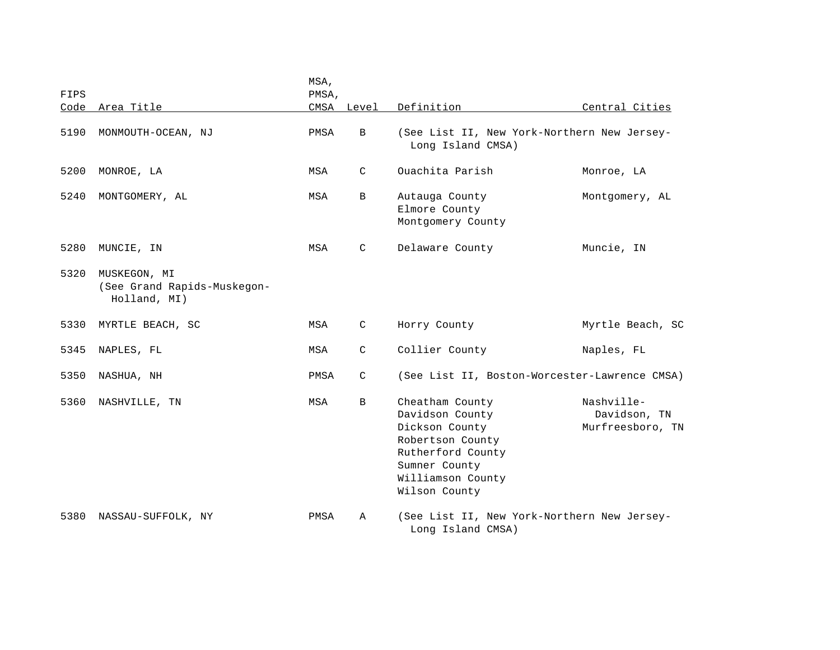| FIPS |                                                             | MSA,<br>PMSA, |              |                                                                                                                                                      |                                                |
|------|-------------------------------------------------------------|---------------|--------------|------------------------------------------------------------------------------------------------------------------------------------------------------|------------------------------------------------|
| Code | Area Title                                                  |               | CMSA Level   | Definition                                                                                                                                           | Central Cities                                 |
| 5190 | MONMOUTH-OCEAN, NJ                                          | PMSA          | B            | (See List II, New York-Northern New Jersey-<br>Long Island CMSA)                                                                                     |                                                |
| 5200 | MONROE, LA                                                  | MSA           | C            | Ouachita Parish                                                                                                                                      | Monroe, LA                                     |
| 5240 | MONTGOMERY, AL                                              | MSA           | B            | Autauga County<br>Elmore County<br>Montgomery County                                                                                                 | Montgomery, AL                                 |
| 5280 | MUNCIE, IN                                                  | MSA           | C            | Delaware County                                                                                                                                      | Muncie, IN                                     |
| 5320 | MUSKEGON, MI<br>(See Grand Rapids-Muskegon-<br>Holland, MI) |               |              |                                                                                                                                                      |                                                |
| 5330 | MYRTLE BEACH, SC                                            | MSA           | C            | Horry County                                                                                                                                         | Myrtle Beach, SC                               |
| 5345 | NAPLES, FL                                                  | MSA           | C            | Collier County                                                                                                                                       | Naples, FL                                     |
| 5350 | NASHUA, NH                                                  | PMSA          | $\mathsf{C}$ | (See List II, Boston-Worcester-Lawrence CMSA)                                                                                                        |                                                |
| 5360 | NASHVILLE, TN                                               | MSA           | $\mathbf B$  | Cheatham County<br>Davidson County<br>Dickson County<br>Robertson County<br>Rutherford County<br>Sumner County<br>Williamson County<br>Wilson County | Nashville-<br>Davidson, TN<br>Murfreesboro, TN |
| 5380 | NASSAU-SUFFOLK, NY                                          | PMSA          | A            | (See List II, New York-Northern New Jersey-<br>Long Island CMSA)                                                                                     |                                                |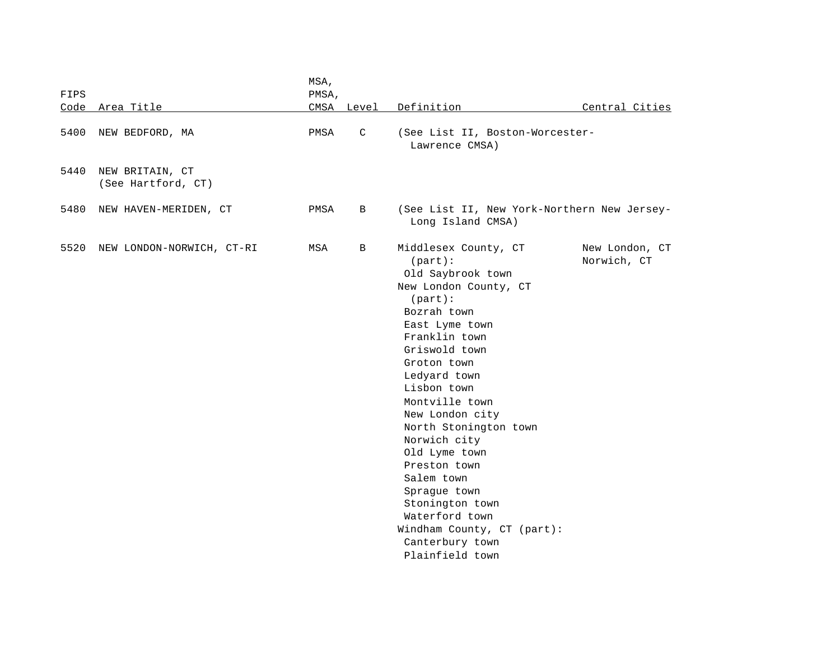| FIPS |                                       | MSA,<br>PMSA, |              |                                                                                                                                                                                                                                                                                                                                                                                                                                                                       |                               |
|------|---------------------------------------|---------------|--------------|-----------------------------------------------------------------------------------------------------------------------------------------------------------------------------------------------------------------------------------------------------------------------------------------------------------------------------------------------------------------------------------------------------------------------------------------------------------------------|-------------------------------|
| Code | Area Title                            |               | CMSA Level   | Definition                                                                                                                                                                                                                                                                                                                                                                                                                                                            | Central Cities                |
| 5400 | NEW BEDFORD, MA                       | PMSA          | $\mathsf{C}$ | (See List II, Boston-Worcester-<br>Lawrence CMSA)                                                                                                                                                                                                                                                                                                                                                                                                                     |                               |
| 5440 | NEW BRITAIN, CT<br>(See Hartford, CT) |               |              |                                                                                                                                                                                                                                                                                                                                                                                                                                                                       |                               |
| 5480 | NEW HAVEN-MERIDEN, CT                 | PMSA          | B            | (See List II, New York-Northern New Jersey-<br>Long Island CMSA)                                                                                                                                                                                                                                                                                                                                                                                                      |                               |
| 5520 | NEW LONDON-NORWICH, CT-RI             | MSA           | B            | Middlesex County, CT<br>$(part)$ :<br>Old Saybrook town<br>New London County, CT<br>$(part)$ :<br>Bozrah town<br>East Lyme town<br>Franklin town<br>Griswold town<br>Groton town<br>Ledyard town<br>Lisbon town<br>Montville town<br>New London city<br>North Stonington town<br>Norwich city<br>Old Lyme town<br>Preston town<br>Salem town<br>Sprague town<br>Stonington town<br>Waterford town<br>Windham County, CT (part):<br>Canterbury town<br>Plainfield town | New London, CT<br>Norwich, CT |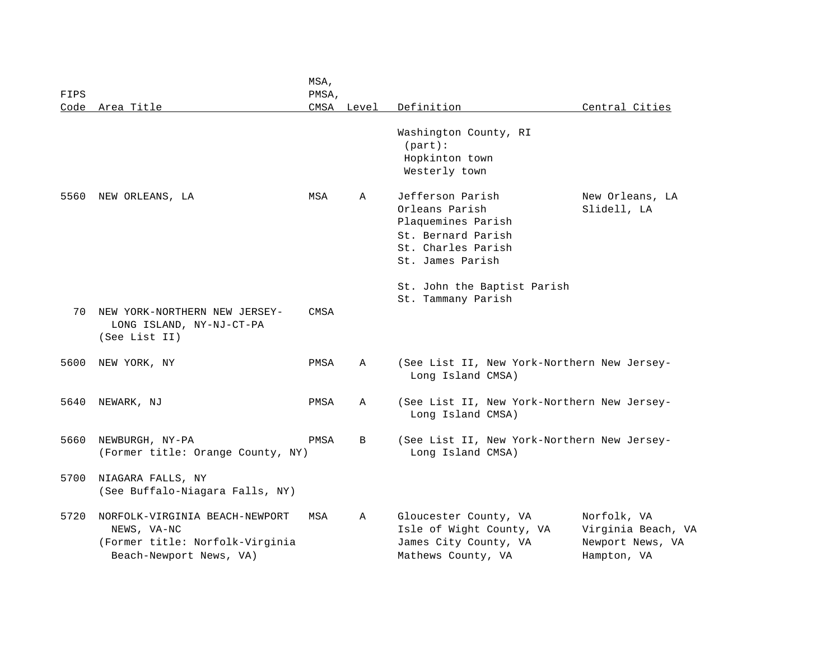| FIPS |                                                                                                             | MSA,<br>PMSA, |            |                                                                                                                          |                                                                      |
|------|-------------------------------------------------------------------------------------------------------------|---------------|------------|--------------------------------------------------------------------------------------------------------------------------|----------------------------------------------------------------------|
| Code | Area Title                                                                                                  |               | CMSA Level | Definition                                                                                                               | Central Cities                                                       |
|      |                                                                                                             |               |            | Washington County, RI<br>$(part)$ :<br>Hopkinton town<br>Westerly town                                                   |                                                                      |
| 5560 | NEW ORLEANS, LA                                                                                             | MSA           | Α          | Jefferson Parish<br>Orleans Parish<br>Plaquemines Parish<br>St. Bernard Parish<br>St. Charles Parish<br>St. James Parish | New Orleans, LA<br>Slidell, LA                                       |
| 70   | NEW YORK-NORTHERN NEW JERSEY-<br>LONG ISLAND, NY-NJ-CT-PA<br>(See List II)                                  | CMSA          |            | St. John the Baptist Parish<br>St. Tammany Parish                                                                        |                                                                      |
| 5600 | NEW YORK, NY                                                                                                | PMSA          | A          | (See List II, New York-Northern New Jersey-<br>Long Island CMSA)                                                         |                                                                      |
| 5640 | NEWARK, NJ                                                                                                  | PMSA          | A          | (See List II, New York-Northern New Jersey-<br>Long Island CMSA)                                                         |                                                                      |
| 5660 | NEWBURGH, NY-PA<br>(Former title: Orange County, NY)                                                        | PMSA          | B          | (See List II, New York-Northern New Jersey-<br>Long Island CMSA)                                                         |                                                                      |
| 5700 | NIAGARA FALLS, NY<br>(See Buffalo-Niagara Falls, NY)                                                        |               |            |                                                                                                                          |                                                                      |
| 5720 | NORFOLK-VIRGINIA BEACH-NEWPORT<br>NEWS, VA-NC<br>(Former title: Norfolk-Virginia<br>Beach-Newport News, VA) | MSA           | Α          | Gloucester County, VA<br>Isle of Wight County, VA<br>James City County, VA<br>Mathews County, VA                         | Norfolk, VA<br>Virginia Beach, VA<br>Newport News, VA<br>Hampton, VA |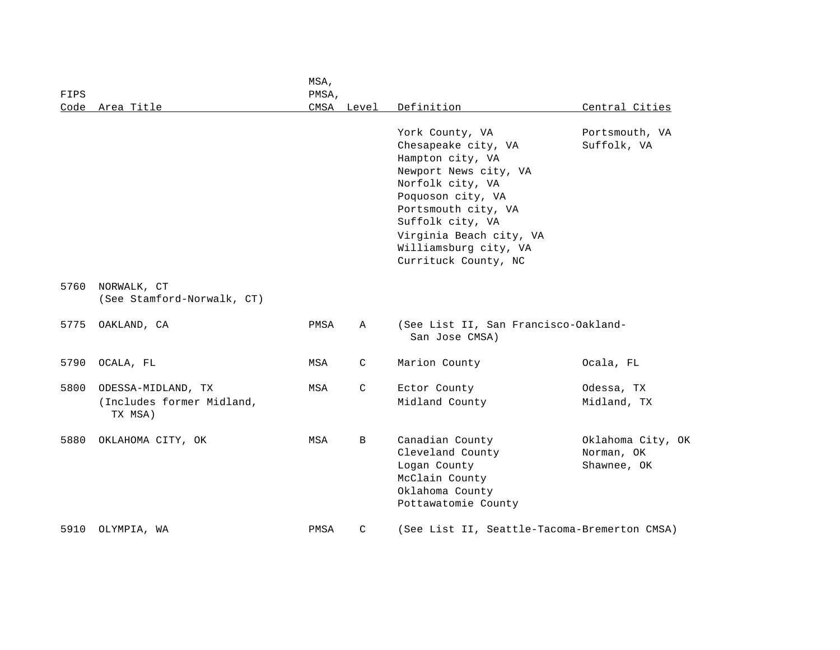| FIPS |                                                            | MSA,<br>PMSA, |               |                                                                                                                                                                                                                                                     |                                                |
|------|------------------------------------------------------------|---------------|---------------|-----------------------------------------------------------------------------------------------------------------------------------------------------------------------------------------------------------------------------------------------------|------------------------------------------------|
| Code | Area Title                                                 | CMSA          | Level         | Definition                                                                                                                                                                                                                                          | Central Cities                                 |
|      |                                                            |               |               | York County, VA<br>Chesapeake city, VA<br>Hampton city, VA<br>Newport News city, VA<br>Norfolk city, VA<br>Poquoson city, VA<br>Portsmouth city, VA<br>Suffolk city, VA<br>Virginia Beach city, VA<br>Williamsburg city, VA<br>Currituck County, NC | Portsmouth, VA<br>Suffolk, VA                  |
| 5760 | NORWALK, CT<br>(See Stamford-Norwalk, CT)                  |               |               |                                                                                                                                                                                                                                                     |                                                |
| 5775 | OAKLAND, CA                                                | PMSA          | Α             | (See List II, San Francisco-Oakland-<br>San Jose CMSA)                                                                                                                                                                                              |                                                |
| 5790 | OCALA, FL                                                  | MSA           | C             | Marion County                                                                                                                                                                                                                                       | Ocala, FL                                      |
| 5800 | ODESSA-MIDLAND, TX<br>(Includes former Midland,<br>TX MSA) | MSA           | $\mathcal{C}$ | Ector County<br>Midland County                                                                                                                                                                                                                      | Odessa, TX<br>Midland, TX                      |
| 5880 | OKLAHOMA CITY, OK                                          | MSA           | B             | Canadian County<br>Cleveland County<br>Logan County<br>McClain County<br>Oklahoma County<br>Pottawatomie County                                                                                                                                     | Oklahoma City, OK<br>Norman, OK<br>Shawnee, OK |
| 5910 | OLYMPIA, WA                                                | PMSA          | C             | (See List II, Seattle-Tacoma-Bremerton CMSA)                                                                                                                                                                                                        |                                                |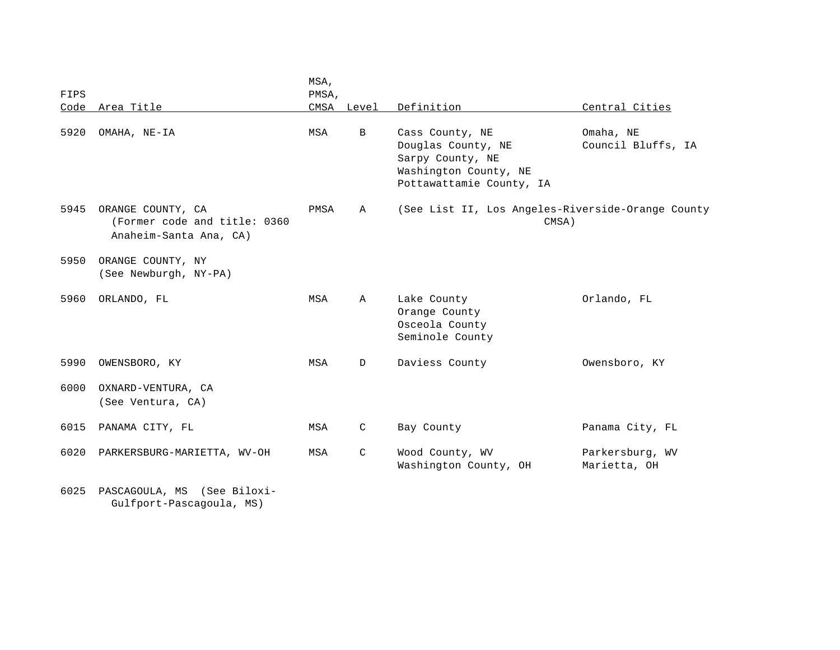| FIPS | Code Area Title                                                             | MSA,<br>PMSA,<br>CMSA Level |              | Definition                                                                                                     | Central Cities                  |
|------|-----------------------------------------------------------------------------|-----------------------------|--------------|----------------------------------------------------------------------------------------------------------------|---------------------------------|
| 5920 | OMAHA, NE-IA                                                                | MSA                         | B            | Cass County, NE<br>Douglas County, NE<br>Sarpy County, NE<br>Washington County, NE<br>Pottawattamie County, IA | Omaha, NE<br>Council Bluffs, IA |
| 5945 | ORANGE COUNTY, CA<br>(Former code and title: 0360<br>Anaheim-Santa Ana, CA) | PMSA                        | Α            | (See List II, Los Angeles-Riverside-Orange County<br>CMSA)                                                     |                                 |
| 5950 | ORANGE COUNTY, NY<br>(See Newburgh, NY-PA)                                  |                             |              |                                                                                                                |                                 |
| 5960 | ORLANDO, FL                                                                 | MSA                         | $\mathbb A$  | Lake County<br>Orange County<br>Osceola County<br>Seminole County                                              | Orlando, FL                     |
| 5990 | OWENSBORO, KY                                                               | MSA                         | $\mathbb{D}$ | Daviess County                                                                                                 | Owensboro, KY                   |
| 6000 | OXNARD-VENTURA, CA<br>(See Ventura, CA)                                     |                             |              |                                                                                                                |                                 |
| 6015 | PANAMA CITY, FL                                                             | MSA                         | C            | Bay County                                                                                                     | Panama City, FL                 |
| 6020 | PARKERSBURG-MARIETTA, WV-OH                                                 | MSA                         | C            | Wood County, WV<br>Washington County, OH                                                                       | Parkersburg, WV<br>Marietta, OH |

6025 PASCAGOULA, MS (See Biloxi- Gulfport-Pascagoula, MS)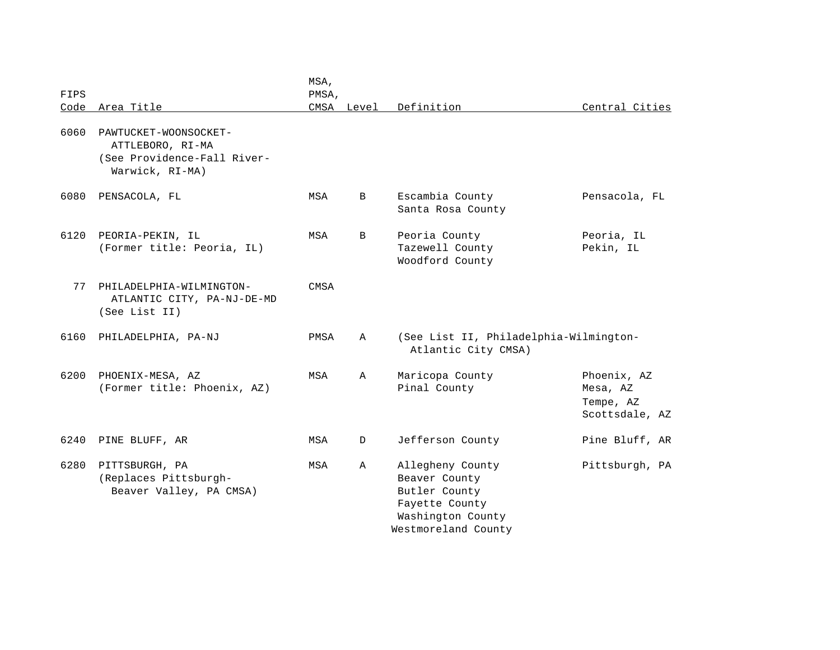| FIPS |                                                                                             | MSA,<br>PMSA, |            |                                                                                                                  |                                                        |
|------|---------------------------------------------------------------------------------------------|---------------|------------|------------------------------------------------------------------------------------------------------------------|--------------------------------------------------------|
|      | Code Area Title                                                                             |               | CMSA Level | Definition                                                                                                       | Central Cities                                         |
| 6060 | PAWTUCKET-WOONSOCKET-<br>ATTLEBORO, RI-MA<br>(See Providence-Fall River-<br>Warwick, RI-MA) |               |            |                                                                                                                  |                                                        |
| 6080 | PENSACOLA, FL                                                                               | MSA           | B          | Escambia County<br>Santa Rosa County                                                                             | Pensacola, FL                                          |
| 6120 | PEORIA-PEKIN, IL<br>(Former title: Peoria, IL)                                              | MSA           | B          | Peoria County<br>Tazewell County<br>Woodford County                                                              | Peoria, IL<br>Pekin, IL                                |
| 77   | PHILADELPHIA-WILMINGTON-<br>ATLANTIC CITY, PA-NJ-DE-MD<br>(See List II)                     | CMSA          |            |                                                                                                                  |                                                        |
| 6160 | PHILADELPHIA, PA-NJ                                                                         | PMSA          | Α          | (See List II, Philadelphia-Wilmington-<br>Atlantic City CMSA)                                                    |                                                        |
| 6200 | PHOENIX-MESA, AZ<br>(Former title: Phoenix, AZ)                                             | MSA           | Α          | Maricopa County<br>Pinal County                                                                                  | Phoenix, AZ<br>Mesa, AZ<br>Tempe, AZ<br>Scottsdale, AZ |
| 6240 | PINE BLUFF, AR                                                                              | MSA           | D          | Jefferson County                                                                                                 | Pine Bluff, AR                                         |
| 6280 | PITTSBURGH, PA<br>(Replaces Pittsburgh-<br>Beaver Valley, PA CMSA)                          | MSA           | Α          | Allegheny County<br>Beaver County<br>Butler County<br>Fayette County<br>Washington County<br>Westmoreland County | Pittsburgh, PA                                         |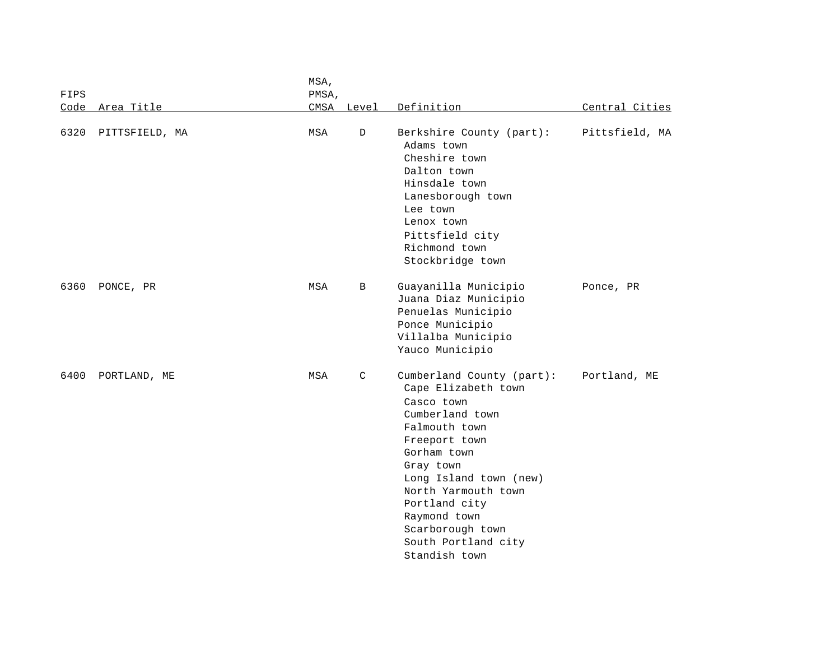|             |                | MSA,  |             |                                                                                                                                                                                                                                                                                               |                |
|-------------|----------------|-------|-------------|-----------------------------------------------------------------------------------------------------------------------------------------------------------------------------------------------------------------------------------------------------------------------------------------------|----------------|
| <b>FIPS</b> |                | PMSA, |             |                                                                                                                                                                                                                                                                                               |                |
| Code        | Area Title     | CMSA  | Level       | Definition                                                                                                                                                                                                                                                                                    | Central Cities |
| 6320        | PITTSFIELD, MA | MSA   | $\mathbb D$ | Berkshire County (part):<br>Adams town<br>Cheshire town<br>Dalton town<br>Hinsdale town<br>Lanesborough town<br>Lee town<br>Lenox town<br>Pittsfield city<br>Richmond town<br>Stockbridge town                                                                                                | Pittsfield, MA |
| 6360        | PONCE, PR      | MSA   | B           | Guayanilla Municipio<br>Juana Diaz Municipio<br>Penuelas Municipio<br>Ponce Municipio<br>Villalba Municipio<br>Yauco Municipio                                                                                                                                                                | Ponce, PR      |
| 6400        | PORTLAND, ME   | MSA   | C           | Cumberland County (part):<br>Cape Elizabeth town<br>Casco town<br>Cumberland town<br>Falmouth town<br>Freeport town<br>Gorham town<br>Gray town<br>Long Island town (new)<br>North Yarmouth town<br>Portland city<br>Raymond town<br>Scarborough town<br>South Portland city<br>Standish town | Portland, ME   |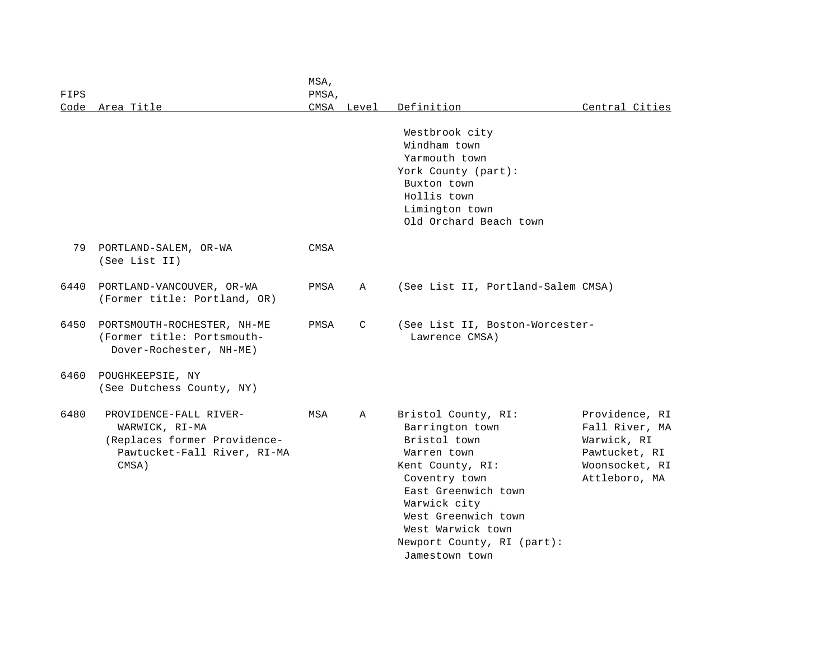| FIPS |                                                                                                                  | MSA,<br>PMSA, |              |                                                                                                                                                                                                                                               |                                                                                                     |
|------|------------------------------------------------------------------------------------------------------------------|---------------|--------------|-----------------------------------------------------------------------------------------------------------------------------------------------------------------------------------------------------------------------------------------------|-----------------------------------------------------------------------------------------------------|
| Code | Area Title                                                                                                       |               | CMSA Level   | Definition                                                                                                                                                                                                                                    | Central Cities                                                                                      |
|      |                                                                                                                  |               |              | Westbrook city<br>Windham town<br>Yarmouth town<br>York County (part):<br>Buxton town<br>Hollis town<br>Limington town                                                                                                                        |                                                                                                     |
|      |                                                                                                                  |               |              | Old Orchard Beach town                                                                                                                                                                                                                        |                                                                                                     |
| 79   | PORTLAND-SALEM, OR-WA<br>(See List II)                                                                           | CMSA          |              |                                                                                                                                                                                                                                               |                                                                                                     |
| 6440 | PORTLAND-VANCOUVER, OR-WA<br>(Former title: Portland, OR)                                                        | PMSA          | $\mathbb{A}$ | (See List II, Portland-Salem CMSA)                                                                                                                                                                                                            |                                                                                                     |
| 6450 | PORTSMOUTH-ROCHESTER, NH-ME<br>(Former title: Portsmouth-<br>Dover-Rochester, NH-ME)                             | PMSA          | C            | (See List II, Boston-Worcester-<br>Lawrence CMSA)                                                                                                                                                                                             |                                                                                                     |
| 6460 | POUGHKEEPSIE, NY<br>(See Dutchess County, NY)                                                                    |               |              |                                                                                                                                                                                                                                               |                                                                                                     |
| 6480 | PROVIDENCE-FALL RIVER-<br>WARWICK, RI-MA<br>(Replaces former Providence-<br>Pawtucket-Fall River, RI-MA<br>CMSA) | MSA           | $\mathbb{A}$ | Bristol County, RI:<br>Barrington town<br>Bristol town<br>Warren town<br>Kent County, RI:<br>Coventry town<br>East Greenwich town<br>Warwick city<br>West Greenwich town<br>West Warwick town<br>Newport County, RI (part):<br>Jamestown town | Providence, RI<br>Fall River, MA<br>Warwick, RI<br>Pawtucket, RI<br>Woonsocket, RI<br>Attleboro, MA |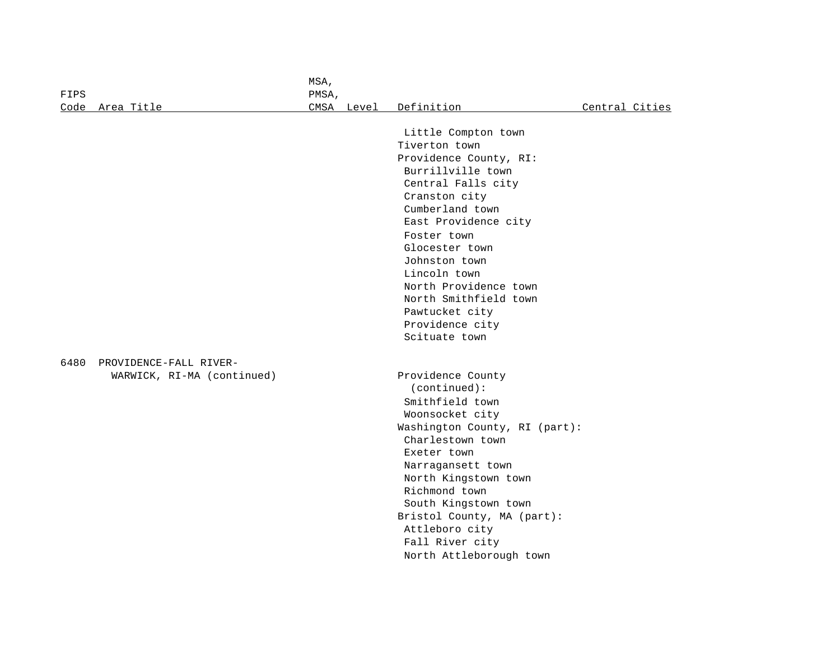|      |                            | MSA,  |            |                               |                |
|------|----------------------------|-------|------------|-------------------------------|----------------|
| FIPS |                            | PMSA, |            |                               |                |
| Code | Area Title                 |       | CMSA Level | Definition                    | Central Cities |
|      |                            |       |            |                               |                |
|      |                            |       |            | Little Compton town           |                |
|      |                            |       |            | Tiverton town                 |                |
|      |                            |       |            | Providence County, RI:        |                |
|      |                            |       |            | Burrillville town             |                |
|      |                            |       |            | Central Falls city            |                |
|      |                            |       |            | Cranston city                 |                |
|      |                            |       |            | Cumberland town               |                |
|      |                            |       |            | East Providence city          |                |
|      |                            |       |            | Foster town                   |                |
|      |                            |       |            | Glocester town                |                |
|      |                            |       |            | Johnston town                 |                |
|      |                            |       |            | Lincoln town                  |                |
|      |                            |       |            | North Providence town         |                |
|      |                            |       |            | North Smithfield town         |                |
|      |                            |       |            | Pawtucket city                |                |
|      |                            |       |            | Providence city               |                |
|      |                            |       |            | Scituate town                 |                |
| 6480 | PROVIDENCE-FALL RIVER-     |       |            |                               |                |
|      | WARWICK, RI-MA (continued) |       |            | Providence County             |                |
|      |                            |       |            | (continued):                  |                |
|      |                            |       |            | Smithfield town               |                |
|      |                            |       |            | Woonsocket city               |                |
|      |                            |       |            | Washington County, RI (part): |                |
|      |                            |       |            | Charlestown town              |                |
|      |                            |       |            | Exeter town                   |                |
|      |                            |       |            | Narragansett town             |                |
|      |                            |       |            | North Kingstown town          |                |
|      |                            |       |            | Richmond town                 |                |
|      |                            |       |            | South Kingstown town          |                |
|      |                            |       |            | Bristol County, MA (part):    |                |
|      |                            |       |            | Attleboro city                |                |
|      |                            |       |            | Fall River city               |                |
|      |                            |       |            | North Attleborough town       |                |
|      |                            |       |            |                               |                |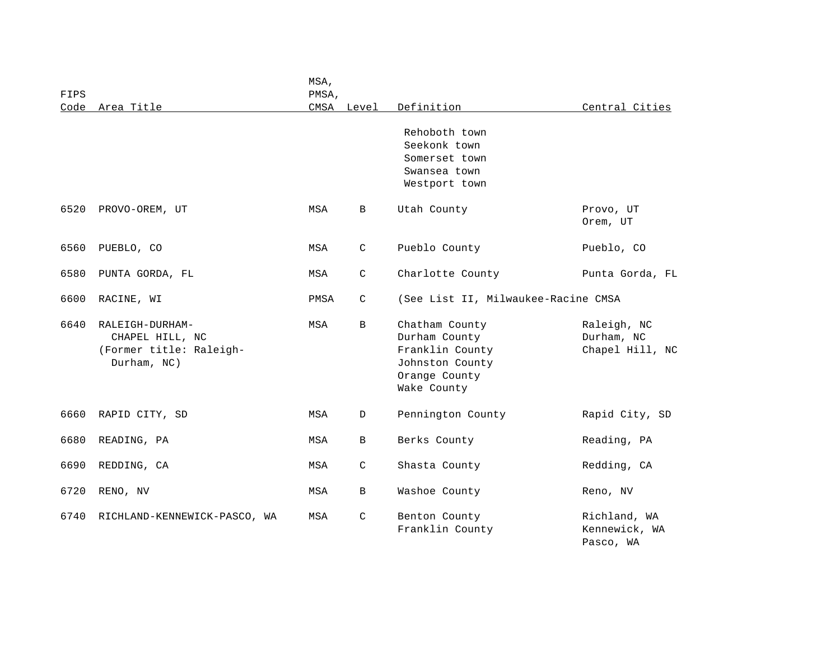| FIPS | Area Title                                                                   | MSA,<br>PMSA,<br>CMSA |              | Definition                                                                                            | Central Cities                               |
|------|------------------------------------------------------------------------------|-----------------------|--------------|-------------------------------------------------------------------------------------------------------|----------------------------------------------|
| Code |                                                                              |                       | Level        | Rehoboth town<br>Seekonk town<br>Somerset town<br>Swansea town<br>Westport town                       |                                              |
| 6520 | PROVO-OREM, UT                                                               | MSA                   | B            | Utah County                                                                                           | Provo, UT<br>Orem, UT                        |
| 6560 | PUEBLO, CO                                                                   | MSA                   | C            | Pueblo County                                                                                         | Pueblo, CO                                   |
| 6580 | PUNTA GORDA, FL                                                              | MSA                   | C            | Charlotte County                                                                                      | Punta Gorda, FL                              |
| 6600 | RACINE, WI                                                                   | PMSA                  | $\mathsf{C}$ | (See List II, Milwaukee-Racine CMSA                                                                   |                                              |
| 6640 | RALEIGH-DURHAM-<br>CHAPEL HILL, NC<br>(Former title: Raleigh-<br>Durham, NC) | MSA                   | $\mathbf{B}$ | Chatham County<br>Durham County<br>Franklin County<br>Johnston County<br>Orange County<br>Wake County | Raleigh, NC<br>Durham, NC<br>Chapel Hill, NC |
| 6660 | RAPID CITY, SD                                                               | MSA                   | D            | Pennington County                                                                                     | Rapid City, SD                               |
| 6680 | READING, PA                                                                  | MSA                   | B            | Berks County                                                                                          | Reading, PA                                  |
| 6690 | REDDING, CA                                                                  | MSA                   | C            | Shasta County                                                                                         | Redding, CA                                  |
| 6720 | RENO, NV                                                                     | MSA                   | B            | Washoe County                                                                                         | Reno, NV                                     |
| 6740 | RICHLAND-KENNEWICK-PASCO, WA                                                 | MSA                   | $\mathsf{C}$ | Benton County<br>Franklin County                                                                      | Richland, WA<br>Kennewick, WA<br>Pasco, WA   |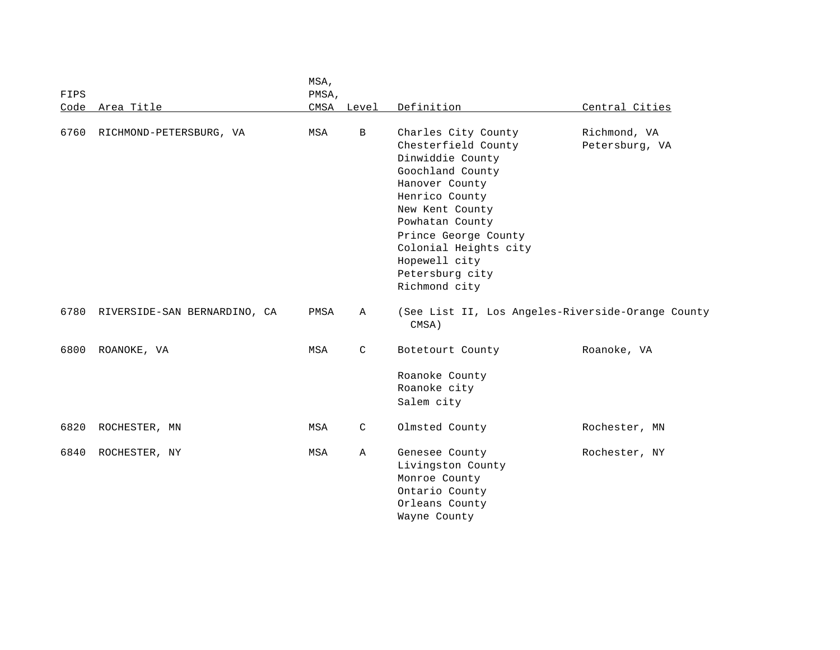|      |                              | MSA,  |              |                                                                                                                                                                                                                                                                    |                                |
|------|------------------------------|-------|--------------|--------------------------------------------------------------------------------------------------------------------------------------------------------------------------------------------------------------------------------------------------------------------|--------------------------------|
| FIPS |                              | PMSA, |              |                                                                                                                                                                                                                                                                    |                                |
|      | Code Area Title              |       | CMSA Level   | Definition                                                                                                                                                                                                                                                         | Central Cities                 |
| 6760 | RICHMOND-PETERSBURG, VA      | MSA   | $\mathbf{B}$ | Charles City County<br>Chesterfield County<br>Dinwiddie County<br>Goochland County<br>Hanover County<br>Henrico County<br>New Kent County<br>Powhatan County<br>Prince George County<br>Colonial Heights city<br>Hopewell city<br>Petersburg city<br>Richmond city | Richmond, VA<br>Petersburg, VA |
| 6780 | RIVERSIDE-SAN BERNARDINO, CA | PMSA  | A            | (See List II, Los Angeles-Riverside-Orange County<br>CMSA)                                                                                                                                                                                                         |                                |
| 6800 | ROANOKE, VA                  | MSA   | C            | Botetourt County<br>Roanoke County<br>Roanoke city<br>Salem city                                                                                                                                                                                                   | Roanoke, VA                    |
| 6820 | ROCHESTER, MN                | MSA   | C            | Olmsted County                                                                                                                                                                                                                                                     | Rochester, MN                  |
| 6840 | ROCHESTER, NY                | MSA   | Α            | Genesee County<br>Livingston County<br>Monroe County<br>Ontario County<br>Orleans County<br>Wayne County                                                                                                                                                           | Rochester, NY                  |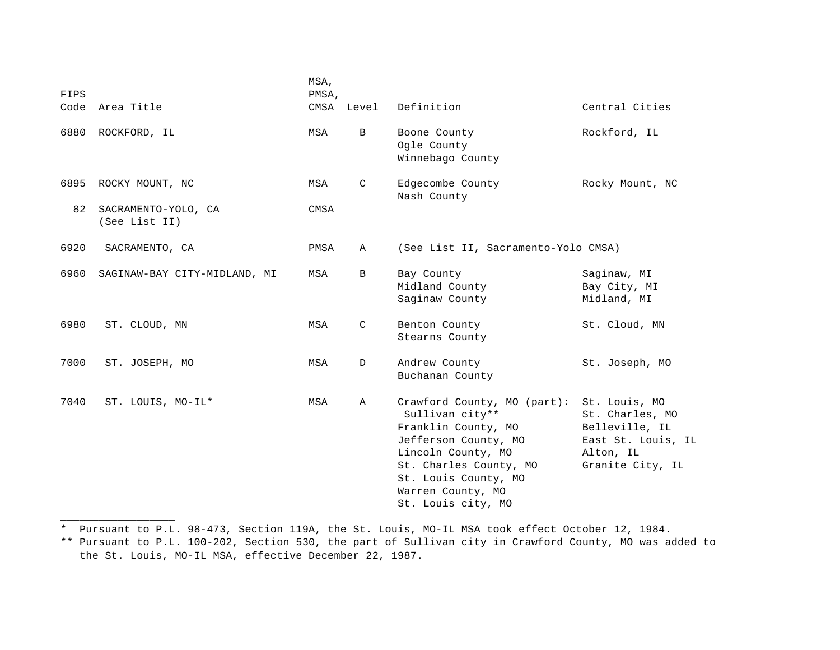| FIPS |                                      | MSA,<br>PMSA, |              |                                                                                                                                                                                                                  |                                                                                                           |
|------|--------------------------------------|---------------|--------------|------------------------------------------------------------------------------------------------------------------------------------------------------------------------------------------------------------------|-----------------------------------------------------------------------------------------------------------|
| Code | Area Title                           |               | CMSA Level   | Definition                                                                                                                                                                                                       | Central Cities                                                                                            |
| 6880 | ROCKFORD, IL                         | MSA           | $\, {\bf B}$ | Boone County<br>Ogle County<br>Winnebago County                                                                                                                                                                  | Rockford, IL                                                                                              |
| 6895 | ROCKY MOUNT, NC                      | MSA           | C            | Edgecombe County<br>Nash County                                                                                                                                                                                  | Rocky Mount, NC                                                                                           |
| 82   | SACRAMENTO-YOLO, CA<br>(See List II) | CMSA          |              |                                                                                                                                                                                                                  |                                                                                                           |
| 6920 | SACRAMENTO, CA                       | PMSA          | Α            | (See List II, Sacramento-Yolo CMSA)                                                                                                                                                                              |                                                                                                           |
| 6960 | SAGINAW-BAY CITY-MIDLAND, MI         | MSA           | В            | Bay County<br>Midland County<br>Saginaw County                                                                                                                                                                   | Saginaw, MI<br>Bay City, MI<br>Midland, MI                                                                |
| 6980 | ST. CLOUD, MN                        | MSA           | C            | Benton County<br>Stearns County                                                                                                                                                                                  | St. Cloud, MN                                                                                             |
| 7000 | ST. JOSEPH, MO                       | MSA           | $\mathbb{D}$ | Andrew County<br>Buchanan County                                                                                                                                                                                 | St. Joseph, MO                                                                                            |
| 7040 | ST. LOUIS, MO-IL*                    | MSA           | Α            | Crawford County, MO (part):<br>Sullivan city**<br>Franklin County, MO<br>Jefferson County, MO<br>Lincoln County, MO<br>St. Charles County, MO<br>St. Louis County, MO<br>Warren County, MO<br>St. Louis city, MO | St. Louis, MO<br>St. Charles, MO<br>Belleville, IL<br>East St. Louis, IL<br>Alton, IL<br>Granite City, IL |

\* Pursuant to P.L. 98-473, Section 119A, the St. Louis, MO-IL MSA took effect October 12, 1984.

\_\_\_\_\_\_\_\_\_\_\_\_\_\_\_\_\_\_

\*\* Pursuant to P.L. 100-202, Section 530, the part of Sullivan city in Crawford County, MO was added to the St. Louis, MO-IL MSA, effective December 22, 1987.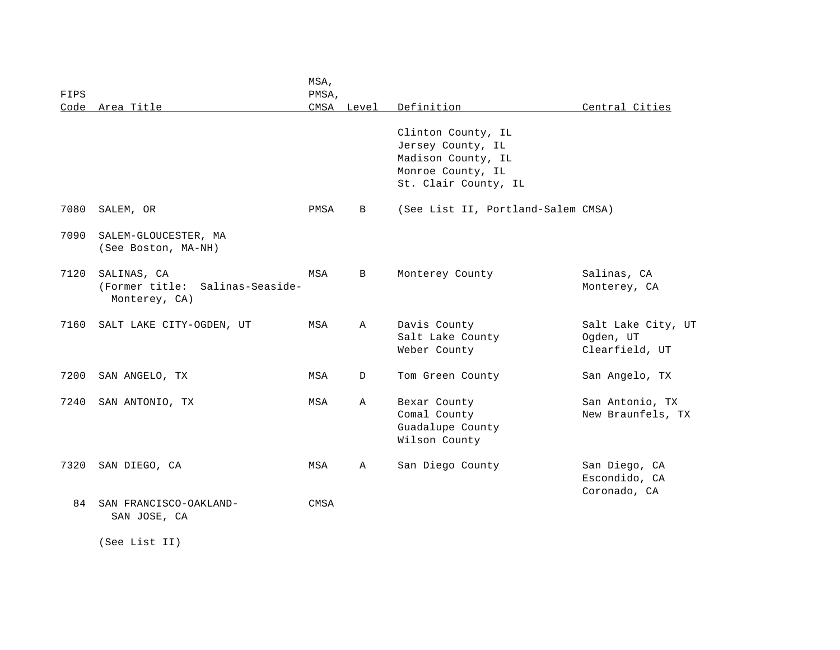| FIPS |                                                                    | MSA,<br>PMSA, |             |                                                                                                            |                                                   |
|------|--------------------------------------------------------------------|---------------|-------------|------------------------------------------------------------------------------------------------------------|---------------------------------------------------|
|      | Code Area Title                                                    |               | CMSA Level  | Definition                                                                                                 | Central Cities                                    |
|      |                                                                    |               |             | Clinton County, IL<br>Jersey County, IL<br>Madison County, IL<br>Monroe County, IL<br>St. Clair County, IL |                                                   |
| 7080 | SALEM, OR                                                          | PMSA          | B           | (See List II, Portland-Salem CMSA)                                                                         |                                                   |
| 7090 | SALEM-GLOUCESTER, MA<br>(See Boston, MA-NH)                        |               |             |                                                                                                            |                                                   |
| 7120 | SALINAS, CA<br>(Former title:<br>Salinas-Seaside-<br>Monterey, CA) | MSA           | B           | Monterey County                                                                                            | Salinas, CA<br>Monterey, CA                       |
| 7160 | SALT LAKE CITY-OGDEN, UT                                           | MSA           | $\mathbb A$ | Davis County<br>Salt Lake County<br>Weber County                                                           | Salt Lake City, UT<br>Ogden, UT<br>Clearfield, UT |
| 7200 | SAN ANGELO, TX                                                     | MSA           | D           | Tom Green County                                                                                           | San Angelo, TX                                    |
| 7240 | SAN ANTONIO, TX                                                    | MSA           | Α           | Bexar County<br>Comal County<br>Guadalupe County<br>Wilson County                                          | San Antonio, TX<br>New Braunfels, TX              |
| 7320 | SAN DIEGO, CA                                                      | MSA           | Α           | San Diego County                                                                                           | San Diego, CA<br>Escondido, CA<br>Coronado, CA    |
| 84   | SAN FRANCISCO-OAKLAND-<br>SAN JOSE, CA                             | CMSA          |             |                                                                                                            |                                                   |

(See List II)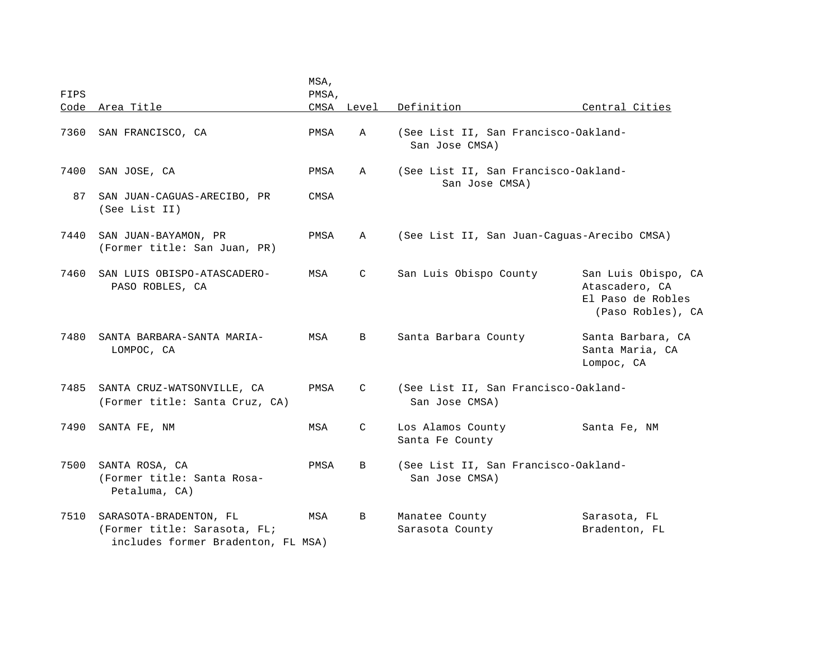|      |                                                                                              | MSA,  |               |                                                        |                                                                                 |
|------|----------------------------------------------------------------------------------------------|-------|---------------|--------------------------------------------------------|---------------------------------------------------------------------------------|
| FIPS |                                                                                              | PMSA, |               |                                                        |                                                                                 |
|      | Code Area Title                                                                              |       | CMSA Level    | Definition                                             | Central Cities                                                                  |
| 7360 | SAN FRANCISCO, CA                                                                            | PMSA  | Α             | (See List II, San Francisco-Oakland-<br>San Jose CMSA) |                                                                                 |
| 7400 | SAN JOSE, CA                                                                                 | PMSA  | A             | (See List II, San Francisco-Oakland-<br>San Jose CMSA) |                                                                                 |
| 87   | SAN JUAN-CAGUAS-ARECIBO, PR<br>(See List II)                                                 | CMSA  |               |                                                        |                                                                                 |
| 7440 | SAN JUAN-BAYAMON, PR<br>(Former title: San Juan, PR)                                         | PMSA  | $\mathbb A$   | (See List II, San Juan-Caguas-Arecibo CMSA)            |                                                                                 |
| 7460 | SAN LUIS OBISPO-ATASCADERO-<br>PASO ROBLES, CA                                               | MSA   | C             | San Luis Obispo County                                 | San Luis Obispo, CA<br>Atascadero, CA<br>El Paso de Robles<br>(Paso Robles), CA |
| 7480 | SANTA BARBARA-SANTA MARIA-<br>LOMPOC, CA                                                     | MSA   | B             | Santa Barbara County                                   | Santa Barbara, CA<br>Santa Maria, CA<br>Lompoc, CA                              |
| 7485 | SANTA CRUZ-WATSONVILLE, CA<br>(Former title: Santa Cruz, CA)                                 | PMSA  | C             | (See List II, San Francisco-Oakland-<br>San Jose CMSA) |                                                                                 |
| 7490 | SANTA FE, NM                                                                                 | MSA   | $\mathcal{C}$ | Los Alamos County<br>Santa Fe County                   | Santa Fe, NM                                                                    |
| 7500 | SANTA ROSA, CA<br>(Former title: Santa Rosa-<br>Petaluma, CA)                                | PMSA  | B             | (See List II, San Francisco-Oakland-<br>San Jose CMSA) |                                                                                 |
| 7510 | SARASOTA-BRADENTON, FL<br>(Former title: Sarasota, FL;<br>includes former Bradenton, FL MSA) | MSA   | B             | Manatee County<br>Sarasota County                      | Sarasota, FL<br>Bradenton, FL                                                   |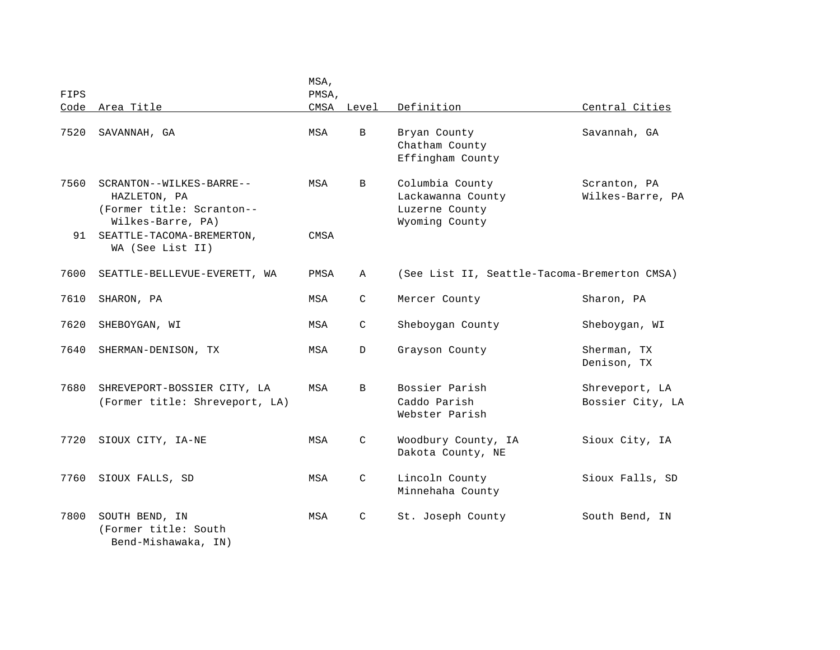| FIPS |                                                                                            | MSA,<br>PMSA, |              |                                                                          |                                    |
|------|--------------------------------------------------------------------------------------------|---------------|--------------|--------------------------------------------------------------------------|------------------------------------|
|      | Code Area Title                                                                            |               | CMSA Level   | Definition                                                               | Central Cities                     |
| 7520 | SAVANNAH, GA                                                                               | MSA           | $\mathbf{B}$ | Bryan County<br>Chatham County<br>Effingham County                       | Savannah, GA                       |
| 7560 | SCRANTON--WILKES-BARRE--<br>HAZLETON, PA<br>(Former title: Scranton--<br>Wilkes-Barre, PA) | MSA           | B            | Columbia County<br>Lackawanna County<br>Luzerne County<br>Wyoming County | Scranton, PA<br>Wilkes-Barre, PA   |
| 91   | SEATTLE-TACOMA-BREMERTON,<br>WA (See List II)                                              | CMSA          |              |                                                                          |                                    |
| 7600 | SEATTLE-BELLEVUE-EVERETT, WA                                                               | PMSA          | Α            | (See List II, Seattle-Tacoma-Bremerton CMSA)                             |                                    |
| 7610 | SHARON, PA                                                                                 | MSA           | $\mathsf{C}$ | Mercer County                                                            | Sharon, PA                         |
| 7620 | SHEBOYGAN, WI                                                                              | MSA           | C            | Sheboygan County                                                         | Sheboygan, WI                      |
| 7640 | SHERMAN-DENISON, TX                                                                        | MSA           | D            | Grayson County                                                           | Sherman, TX<br>Denison, TX         |
| 7680 | SHREVEPORT-BOSSIER CITY, LA<br>(Former title: Shreveport, LA)                              | MSA           | B            | Bossier Parish<br>Caddo Parish<br>Webster Parish                         | Shreveport, LA<br>Bossier City, LA |
| 7720 | SIOUX CITY, IA-NE                                                                          | MSA           | $\mathsf{C}$ | Woodbury County, IA<br>Dakota County, NE                                 | Sioux City, IA                     |
| 7760 | SIOUX FALLS, SD                                                                            | MSA           | C            | Lincoln County<br>Minnehaha County                                       | Sioux Falls, SD                    |
| 7800 | SOUTH BEND, IN<br>(Former title: South<br>Bend-Mishawaka, IN)                              | MSA           | C            | St. Joseph County                                                        | South Bend, IN                     |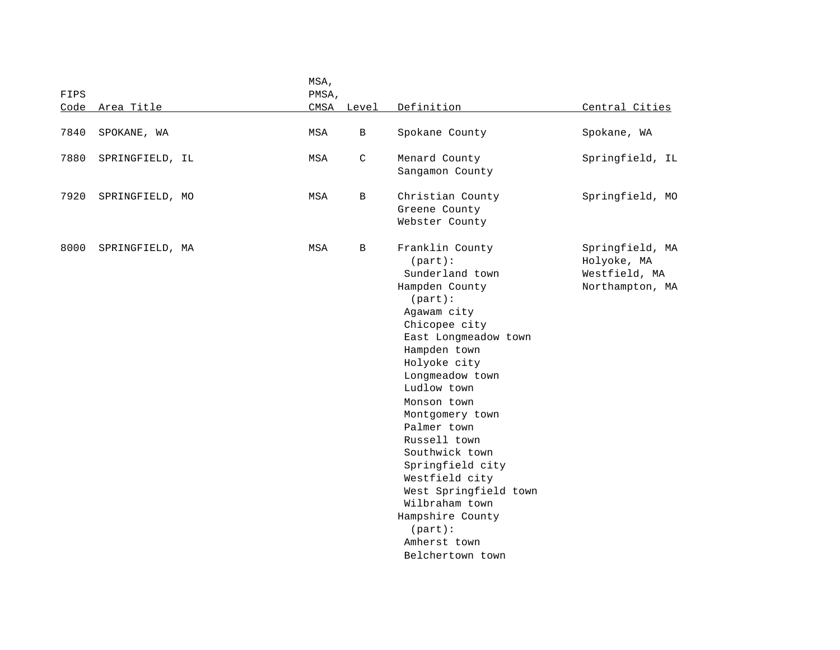|      |                 | MSA,  |              |                                                                                                                                                                                                                                                                                                                                                                                                                                                   |                                                                    |
|------|-----------------|-------|--------------|---------------------------------------------------------------------------------------------------------------------------------------------------------------------------------------------------------------------------------------------------------------------------------------------------------------------------------------------------------------------------------------------------------------------------------------------------|--------------------------------------------------------------------|
| FIPS |                 | PMSA, |              |                                                                                                                                                                                                                                                                                                                                                                                                                                                   |                                                                    |
| Code | Area Title      |       | CMSA Level   | Definition                                                                                                                                                                                                                                                                                                                                                                                                                                        | Central Cities                                                     |
| 7840 | SPOKANE, WA     | MSA   | B            | Spokane County                                                                                                                                                                                                                                                                                                                                                                                                                                    | Spokane, WA                                                        |
| 7880 | SPRINGFIELD, IL | MSA   | C            | Menard County<br>Sangamon County                                                                                                                                                                                                                                                                                                                                                                                                                  | Springfield, IL                                                    |
| 7920 | SPRINGFIELD, MO | MSA   | $\, {\bf B}$ | Christian County<br>Greene County<br>Webster County                                                                                                                                                                                                                                                                                                                                                                                               | Springfield, MO                                                    |
| 8000 | SPRINGFIELD, MA | MSA   | B            | Franklin County<br>$(part)$ :<br>Sunderland town<br>Hampden County<br>(part):<br>Agawam city<br>Chicopee city<br>East Longmeadow town<br>Hampden town<br>Holyoke city<br>Longmeadow town<br>Ludlow town<br>Monson town<br>Montgomery town<br>Palmer town<br>Russell town<br>Southwick town<br>Springfield city<br>Westfield city<br>West Springfield town<br>Wilbraham town<br>Hampshire County<br>$(part)$ :<br>Amherst town<br>Belchertown town | Springfield, MA<br>Holyoke, MA<br>Westfield, MA<br>Northampton, MA |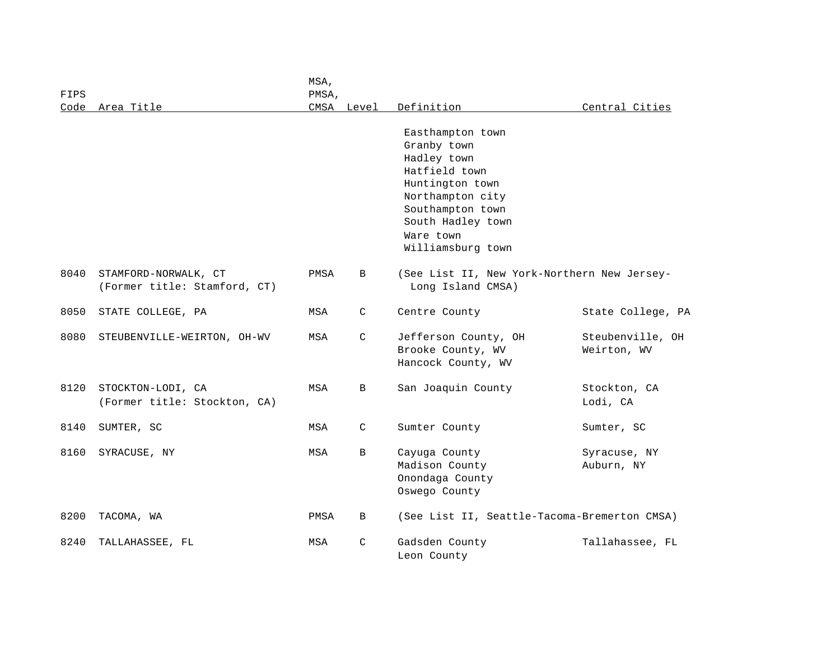| FIPS |                                                      | MSA,<br>PMSA, |            |                                                                                                                                                                                   |                                 |
|------|------------------------------------------------------|---------------|------------|-----------------------------------------------------------------------------------------------------------------------------------------------------------------------------------|---------------------------------|
| Code | Area Title                                           |               | CMSA Level | Definition                                                                                                                                                                        | Central Cities                  |
|      |                                                      |               |            | Easthampton town<br>Granby town<br>Hadley town<br>Hatfield town<br>Huntington town<br>Northampton city<br>Southampton town<br>South Hadley town<br>Ware town<br>Williamsburg town |                                 |
| 8040 | STAMFORD-NORWALK, CT<br>(Former title: Stamford, CT) | PMSA          | B          | (See List II, New York-Northern New Jersey-<br>Long Island CMSA)                                                                                                                  |                                 |
| 8050 | STATE COLLEGE, PA                                    | MSA           | C          | Centre County                                                                                                                                                                     | State College, PA               |
| 8080 | STEUBENVILLE-WEIRTON, OH-WV                          | MSA           | C          | Jefferson County, OH<br>Brooke County, WV<br>Hancock County, WV                                                                                                                   | Steubenville, OH<br>Weirton, WV |
| 8120 | STOCKTON-LODI, CA<br>(Former title: Stockton, CA)    | MSA           | B          | San Joaquin County                                                                                                                                                                | Stockton, CA<br>Lodi, CA        |
| 8140 | SUMTER, SC                                           | MSA           | C          | Sumter County                                                                                                                                                                     | Sumter, SC                      |
| 8160 | SYRACUSE, NY                                         | MSA           | В          | Cayuga County<br>Madison County<br>Onondaga County<br>Oswego County                                                                                                               | Syracuse, NY<br>Auburn, NY      |
| 8200 | TACOMA, WA                                           | PMSA          | B          | (See List II, Seattle-Tacoma-Bremerton CMSA)                                                                                                                                      |                                 |
| 8240 | TALLAHASSEE, FL                                      | MSA           | C          | Gadsden County<br>Leon County                                                                                                                                                     | Tallahassee, FL                 |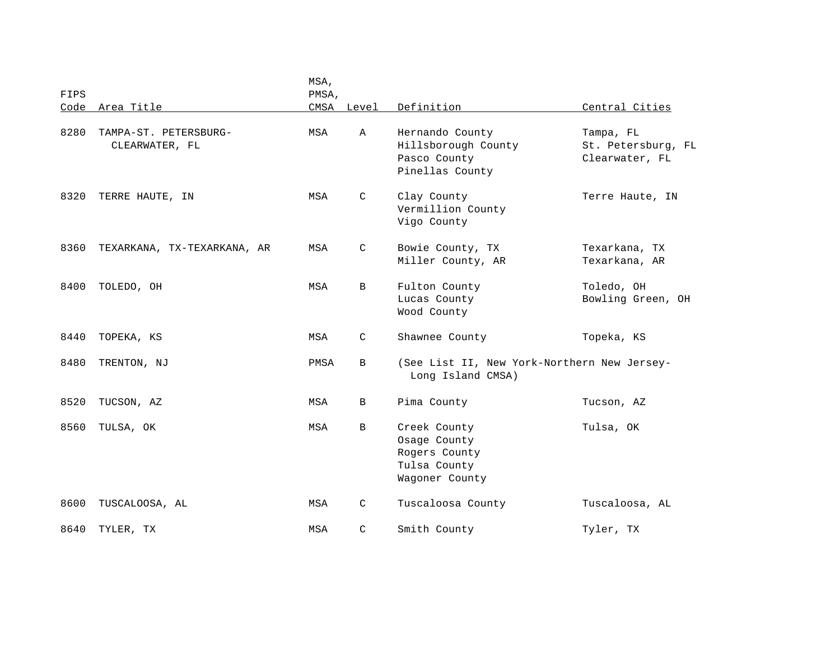| FIPS |                                         | MSA,<br>PMSA, |              |                                                                                 |                                                   |
|------|-----------------------------------------|---------------|--------------|---------------------------------------------------------------------------------|---------------------------------------------------|
| Code | Area Title                              |               | CMSA Level   | Definition                                                                      | Central Cities                                    |
| 8280 | TAMPA-ST. PETERSBURG-<br>CLEARWATER, FL | MSA           | $\mathbb{A}$ | Hernando County<br>Hillsborough County<br>Pasco County<br>Pinellas County       | Tampa, FL<br>St. Petersburg, FL<br>Clearwater, FL |
| 8320 | TERRE HAUTE, IN                         | MSA           | C            | Clay County<br>Vermillion County<br>Vigo County                                 | Terre Haute, IN                                   |
| 8360 | TEXARKANA, TX-TEXARKANA, AR             | MSA           | $\mathsf{C}$ | Bowie County, TX<br>Miller County, AR                                           | Texarkana, TX<br>Texarkana, AR                    |
| 8400 | TOLEDO, OH                              | MSA           | B            | Fulton County<br>Lucas County<br>Wood County                                    | Toledo, OH<br>Bowling Green, OH                   |
| 8440 | TOPEKA, KS                              | MSA           | $\mathsf{C}$ | Shawnee County                                                                  | Topeka, KS                                        |
| 8480 | TRENTON, NJ                             | PMSA          | B            | (See List II, New York-Northern New Jersey-<br>Long Island CMSA)                |                                                   |
| 8520 | TUCSON, AZ                              | MSA           | B            | Pima County                                                                     | Tucson, AZ                                        |
| 8560 | TULSA, OK                               | MSA           | B            | Creek County<br>Osage County<br>Rogers County<br>Tulsa County<br>Wagoner County | Tulsa, OK                                         |
| 8600 | TUSCALOOSA, AL                          | MSA           | C            | Tuscaloosa County                                                               | Tuscaloosa, AL                                    |
| 8640 | TYLER, TX                               | MSA           | C            | Smith County                                                                    | Tyler, TX                                         |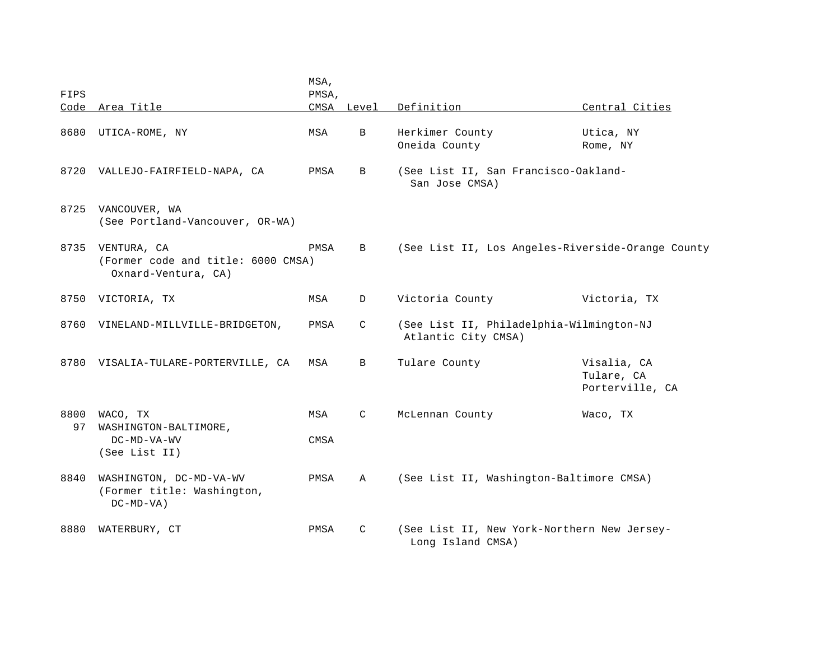|            |                                                                          | MSA,        |              |                                                                  |                                              |
|------------|--------------------------------------------------------------------------|-------------|--------------|------------------------------------------------------------------|----------------------------------------------|
| FIPS       |                                                                          | PMSA,       |              |                                                                  |                                              |
|            | Code Area Title                                                          |             | CMSA Level   | Definition                                                       | Central Cities                               |
| 8680       | UTICA-ROME, NY                                                           | MSA         | $\mathbf{B}$ | Herkimer County<br>Oneida County                                 | Utica, NY<br>Rome, NY                        |
| 8720       | VALLEJO-FAIRFIELD-NAPA, CA                                               | PMSA        | B            | (See List II, San Francisco-Oakland-<br>San Jose CMSA)           |                                              |
| 8725       | VANCOUVER, WA<br>(See Portland-Vancouver, OR-WA)                         |             |              |                                                                  |                                              |
| 8735       | VENTURA, CA<br>(Former code and title: 6000 CMSA)<br>Oxnard-Ventura, CA) | PMSA        | B            | (See List II, Los Angeles-Riverside-Orange County                |                                              |
| 8750       | VICTORIA, TX                                                             | MSA         | D            | Victoria County                                                  | Victoria, TX                                 |
| 8760       | VINELAND-MILLVILLE-BRIDGETON,                                            | PMSA        | C            | (See List II, Philadelphia-Wilmington-NJ<br>Atlantic City CMSA)  |                                              |
|            | 8780 VISALIA-TULARE-PORTERVILLE, CA                                      | MSA         | B            | Tulare County                                                    | Visalia, CA<br>Tulare, CA<br>Porterville, CA |
| 8800<br>97 | WACO, TX<br>WASHINGTON-BALTIMORE,<br>DC-MD-VA-WV                         | MSA<br>CMSA | C            | McLennan County                                                  | Waco, TX                                     |
|            | (See List II)                                                            |             |              |                                                                  |                                              |
| 8840       | WASHINGTON, DC-MD-VA-WV<br>(Former title: Washington,<br>$DC-MD-VA$ )    | PMSA        | Α            | (See List II, Washington-Baltimore CMSA)                         |                                              |
| 8880       | WATERBURY, CT                                                            | PMSA        | C            | (See List II, New York-Northern New Jersey-<br>Long Island CMSA) |                                              |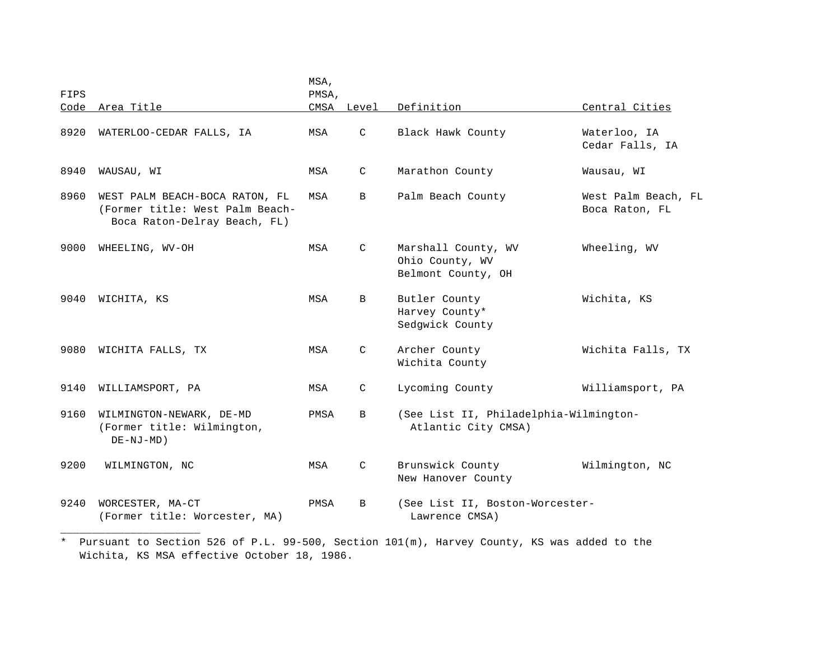| FIPS<br>PMSA,<br>Code<br>Area Title<br>CMSA Level<br>Definition<br>Central Cities<br>$\mathcal{C}$<br>8920<br>Black Hawk County<br>Waterloo, IA<br>WATERLOO-CEDAR FALLS, IA<br>MSA<br>Cedar Falls, IA<br>8940<br>WAUSAU, WI<br>MSA<br>C<br>Marathon County<br>Wausau, WI<br>8960<br>WEST PALM BEACH-BOCA RATON, FL<br>MSA<br>B<br>Palm Beach County<br>(Former title: West Palm Beach-<br>Boca Raton, FL<br>Boca Raton-Delray Beach, FL) |                     |
|------------------------------------------------------------------------------------------------------------------------------------------------------------------------------------------------------------------------------------------------------------------------------------------------------------------------------------------------------------------------------------------------------------------------------------------|---------------------|
|                                                                                                                                                                                                                                                                                                                                                                                                                                          |                     |
|                                                                                                                                                                                                                                                                                                                                                                                                                                          |                     |
|                                                                                                                                                                                                                                                                                                                                                                                                                                          |                     |
|                                                                                                                                                                                                                                                                                                                                                                                                                                          | West Palm Beach, FL |
| 9000<br>MSA<br>$\mathsf{C}$<br>Marshall County, WV<br>Wheeling, WV<br>WHEELING, WV-OH<br>Ohio County, WV<br>Belmont County, OH                                                                                                                                                                                                                                                                                                           |                     |
| Butler County<br>9040<br>WICHITA, KS<br>MSA<br>B<br>Wichita, KS<br>Harvey County*<br>Sedgwick County                                                                                                                                                                                                                                                                                                                                     |                     |
| 9080<br>MSA<br>$\mathcal{C}$<br>Archer County<br>WICHITA FALLS, TX<br>Wichita County                                                                                                                                                                                                                                                                                                                                                     | Wichita Falls, TX   |
| 9140<br>$\mathsf{C}$<br>Lycoming County<br>WILLIAMSPORT, PA<br>MSA                                                                                                                                                                                                                                                                                                                                                                       | Williamsport, PA    |
| (See List II, Philadelphia-Wilmington-<br>9160<br>WILMINGTON-NEWARK, DE-MD<br>PMSA<br><sub>B</sub><br>(Former title: Wilmington,<br>Atlantic City CMSA)<br>$DE-NJ-MD)$                                                                                                                                                                                                                                                                   |                     |
| Brunswick County<br>9200<br>MSA<br>$\mathcal{C}$<br>Wilmington, NC<br>WILMINGTON, NC<br>New Hanover County                                                                                                                                                                                                                                                                                                                               |                     |
| 9240<br>WORCESTER, MA-CT<br>(See List II, Boston-Worcester-<br>PMSA<br>B<br>(Former title: Worcester, MA)<br>Lawrence CMSA)                                                                                                                                                                                                                                                                                                              |                     |

<sup>\*</sup> Pursuant to Section 526 of P.L. 99-500, Section 101(m), Harvey County, KS was added to the Wichita, KS MSA effective October 18, 1986.